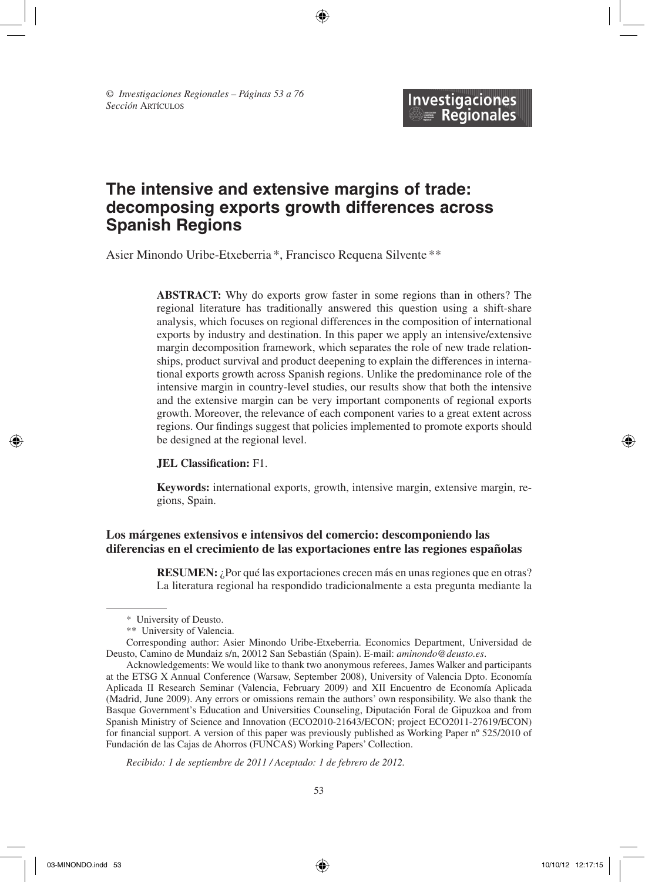*© Investigaciones Regionales – Páginas 53 a 76 Sección* Artículos

# **The intensive and extensive margins of trade: decomposing exports growth differences across Spanish Regions**

 $\Leftrightarrow$ 

**Investigaciones Regionales** 

Asier Minondo Uribe-Etxeberria \*, Francisco Requena Silvente \*\*

**ABSTRACT:** Why do exports grow faster in some regions than in others? The regional literature has traditionally answered this question using a shift-share analysis, which focuses on regional differences in the composition of international exports by industry and destination. In this paper we apply an intensive/extensive margin decomposition framework, which separates the role of new trade relationships, product survival and product deepening to explain the differences in international exports growth across Spanish regions. Unlike the predominance role of the intensive margin in country-level studies, our results show that both the intensive and the extensive margin can be very important components of regional exports growth. Moreover, the relevance of each component varies to a great extent across regions. Our findings suggest that policies implemented to promote exports should be designed at the regional level.

#### **JEL Classification:** F1.

**Keywords:** international exports, growth, intensive margin, extensive margin, regions, Spain.

# **Los márgenes extensivos e intensivos del comercio: descomponiendo las diferencias en el crecimiento de las exportaciones entre las regiones españolas**

**RESUMEN:** ¿Por qué las exportaciones crecen más en unas regiones que en otras? La literatura regional ha respondido tradicionalmente a esta pregunta mediante la

Corresponding author: Asier Minondo Uribe-Etxeberria. Economics Department, Universidad de Deusto, Camino de Mundaiz s/n, 20012 San Sebastián (Spain). E-mail: *aminondo@deusto.es*.

*Recibido: 1 de septiembre de 2011 / Aceptado: 1 de febrero de 2012.*

03-MINONDO.indd 53 10/10/12 12:17:15

<sup>\*</sup> University of Deusto.

<sup>\*\*</sup> University of Valencia.

Acknowledgements: We would like to thank two anonymous referees, James Walker and participants at the ETSG X Annual Conference (Warsaw, September 2008), University of Valencia Dpto. Economía Aplicada II Research Seminar (Valencia, February 2009) and XII Encuentro de Economía Aplicada (Madrid, June 2009). Any errors or omissions remain the authors' own responsibility. We also thank the Basque Government's Education and Universities Counseling, Diputación Foral de Gipuzkoa and from Spanish Ministry of Science and Innovation (ECO2010-21643/ECON; project ECO2011-27619/ECON) for financial support. A version of this paper was previously published as Working Paper nº 525/2010 of Fundación de las Cajas de Ahorros (FUNCAS) Working Papers' Collection.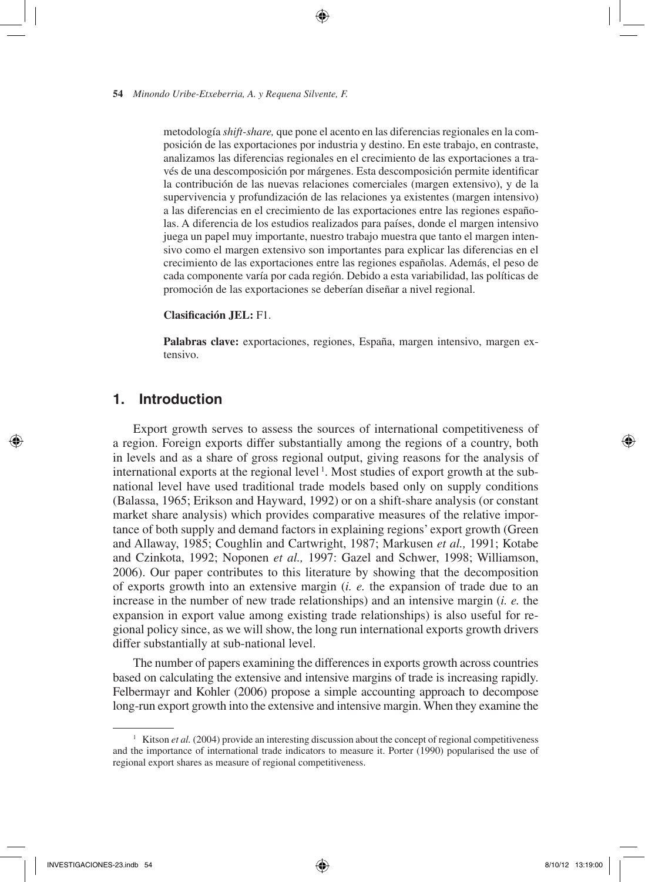metodología *shift-share,* que pone el acento en las diferencias regionales en la composición de las exportaciones por industria y destino. En este trabajo, en contraste, analizamos las diferencias regionales en el crecimiento de las exportaciones a través de una descomposición por márgenes. Esta descomposición permite identificar la contribución de las nuevas relaciones comerciales (margen extensivo), y de la supervivencia y profundización de las relaciones ya existentes (margen intensivo) a las diferencias en el crecimiento de las exportaciones entre las regiones españolas. A diferencia de los estudios realizados para países, donde el margen intensivo juega un papel muy importante, nuestro trabajo muestra que tanto el margen intensivo como el margen extensivo son importantes para explicar las diferencias en el crecimiento de las exportaciones entre las regiones españolas. Además, el peso de cada componente varía por cada región. Debido a esta variabilidad, las políticas de promoción de las exportaciones se deberían diseñar a nivel regional.

⊕

## **Clasificación JEL:** F1.

**Palabras clave:** exportaciones, regiones, España, margen intensivo, margen extensivo.

# **1. Introduction**

Export growth serves to assess the sources of international competitiveness of a region. Foreign exports differ substantially among the regions of a country, both in levels and as a share of gross regional output, giving reasons for the analysis of international exports at the regional level<sup>1</sup>. Most studies of export growth at the subnational level have used traditional trade models based only on supply conditions (Balassa, 1965; Erikson and Hayward, 1992) or on a shift-share analysis (or constant market share analysis) which provides comparative measures of the relative importance of both supply and demand factors in explaining regions' export growth (Green and Allaway, 1985; Coughlin and Cartwright, 1987; Markusen *et al.,* 1991; Kotabe and Czinkota, 1992; Noponen *et al.,* 1997: Gazel and Schwer, 1998; Williamson, 2006). Our paper contributes to this literature by showing that the decomposition of exports growth into an extensive margin (*i. e.* the expansion of trade due to an increase in the number of new trade relationships) and an intensive margin (*i. e.* the expansion in export value among existing trade relationships) is also useful for regional policy since, as we will show, the long run international exports growth drivers differ substantially at sub-national level.

The number of papers examining the differences in exports growth across countries based on calculating the extensive and intensive margins of trade is increasing rapidly. Felbermayr and Kohler (2006) propose a simple accounting approach to decompose long-run export growth into the extensive and intensive margin. When they examine the

<sup>&</sup>lt;sup>1</sup> Kitson *et al.* (2004) provide an interesting discussion about the concept of regional competitiveness and the importance of international trade indicators to measure it. Porter (1990) popularised the use of regional export shares as measure of regional competitiveness.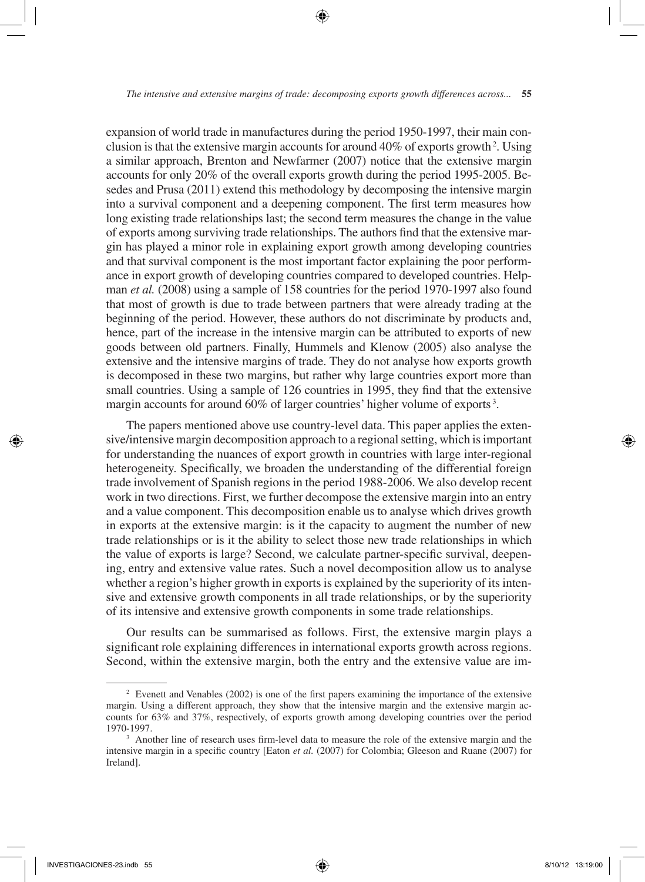expansion of world trade in manufactures during the period 1950-1997, their main conclusion is that the extensive margin accounts for around  $40\%$  of exports growth<sup>2</sup>. Using a similar approach, Brenton and Newfarmer (2007) notice that the extensive margin accounts for only 20% of the overall exports growth during the period 1995-2005. Besedes and Prusa (2011) extend this methodology by decomposing the intensive margin into a survival component and a deepening component. The first term measures how long existing trade relationships last; the second term measures the change in the value of exports among surviving trade relationships. The authors find that the extensive margin has played a minor role in explaining export growth among developing countries and that survival component is the most important factor explaining the poor performance in export growth of developing countries compared to developed countries. Helpman *et al.* (2008) using a sample of 158 countries for the period 1970-1997 also found that most of growth is due to trade between partners that were already trading at the beginning of the period. However, these authors do not discriminate by products and, hence, part of the increase in the intensive margin can be attributed to exports of new goods between old partners. Finally, Hummels and Klenow (2005) also analyse the extensive and the intensive margins of trade. They do not analyse how exports growth is decomposed in these two margins, but rather why large countries export more than small countries. Using a sample of 126 countries in 1995, they find that the extensive margin accounts for around 60% of larger countries' higher volume of exports<sup>3</sup>.

The papers mentioned above use country-level data. This paper applies the extensive/intensive margin decomposition approach to a regional setting, which is important for understanding the nuances of export growth in countries with large inter-regional heterogeneity. Specifically, we broaden the understanding of the differential foreign trade involvement of Spanish regions in the period 1988-2006. We also develop recent work in two directions. First, we further decompose the extensive margin into an entry and a value component. This decomposition enable us to analyse which drives growth in exports at the extensive margin: is it the capacity to augment the number of new trade relationships or is it the ability to select those new trade relationships in which the value of exports is large? Second, we calculate partner-specific survival, deepening, entry and extensive value rates. Such a novel decomposition allow us to analyse whether a region's higher growth in exports is explained by the superiority of its intensive and extensive growth components in all trade relationships, or by the superiority of its intensive and extensive growth components in some trade relationships.

Our results can be summarised as follows. First, the extensive margin plays a significant role explaining differences in international exports growth across regions. Second, within the extensive margin, both the entry and the extensive value are im-

<sup>&</sup>lt;sup>2</sup> Evenett and Venables (2002) is one of the first papers examining the importance of the extensive margin. Using a different approach, they show that the intensive margin and the extensive margin accounts for 63% and 37%, respectively, of exports growth among developing countries over the period 1970-1997.

<sup>&</sup>lt;sup>3</sup> Another line of research uses firm-level data to measure the role of the extensive margin and the intensive margin in a specific country [Eaton *et al.* (2007) for Colombia; Gleeson and Ruane (2007) for Ireland].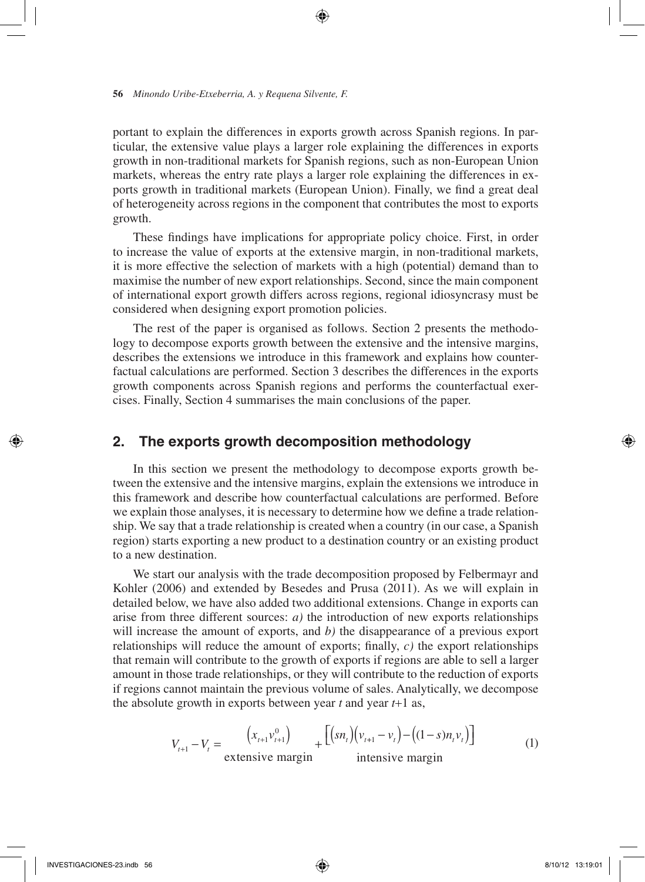portant to explain the differences in exports growth across Spanish regions. In particular, the extensive value plays a larger role explaining the differences in exports growth in non-traditional markets for Spanish regions, such as non-European Union markets, whereas the entry rate plays a larger role explaining the differences in exports growth in traditional markets (European Union). Finally, we find a great deal of heterogeneity across regions in the component that contributes the most to exports growth.

⊕

These findings have implications for appropriate policy choice. First, in order to increase the value of exports at the extensive margin, in non-traditional markets, it is more effective the selection of markets with a high (potential) demand than to maximise the number of new export relationships. Second, since the main component of international export growth differs across regions, regional idiosyncrasy must be considered when designing export promotion policies.

The rest of the paper is organised as follows. Section 2 presents the methodology to decompose exports growth between the extensive and the intensive margins, describes the extensions we introduce in this framework and explains how counterfactual calculations are performed. Section 3 describes the differences in the exports growth components across Spanish regions and performs the counterfactual exercises. Finally, Section 4 summarises the main conclusions of the paper.

# **2. The exports growth decomposition methodology**

In this section we present the methodology to decompose exports growth between the extensive and the intensive margins, explain the extensions we introduce in this framework and describe how counterfactual calculations are performed. Before we explain those analyses, it is necessary to determine how we define a trade relationship. We say that a trade relationship is created when a country (in our case, a Spanish region) starts exporting a new product to a destination country or an existing product to a new destination.

We start our analysis with the trade decomposition proposed by Felbermayr and Kohler (2006) and extended by Besedes and Prusa (2011). As we will explain in detailed below, we have also added two additional extensions. Change in exports can arise from three different sources: *a)* the introduction of new exports relationships will increase the amount of exports, and *b)* the disappearance of a previous export relationships will reduce the amount of exports; finally, *c)* the export relationships that remain will contribute to the growth of exports if regions are able to sell a larger amount in those trade relationships, or they will contribute to the reduction of exports if regions cannot maintain the previous volume of sales. Analytically, we decompose the absolute growth in exports between year *t* and year *t*+1 as,

$$
V_{t+1} - V_t = \frac{(x_{t+1}v_{t+1}^0)}{\text{extensive margin}} + \frac{[(sn_t)(v_{t+1} - v_t) - ((1 - s)n_t v_t)]}{\text{intensive margin}}
$$
(1)

₩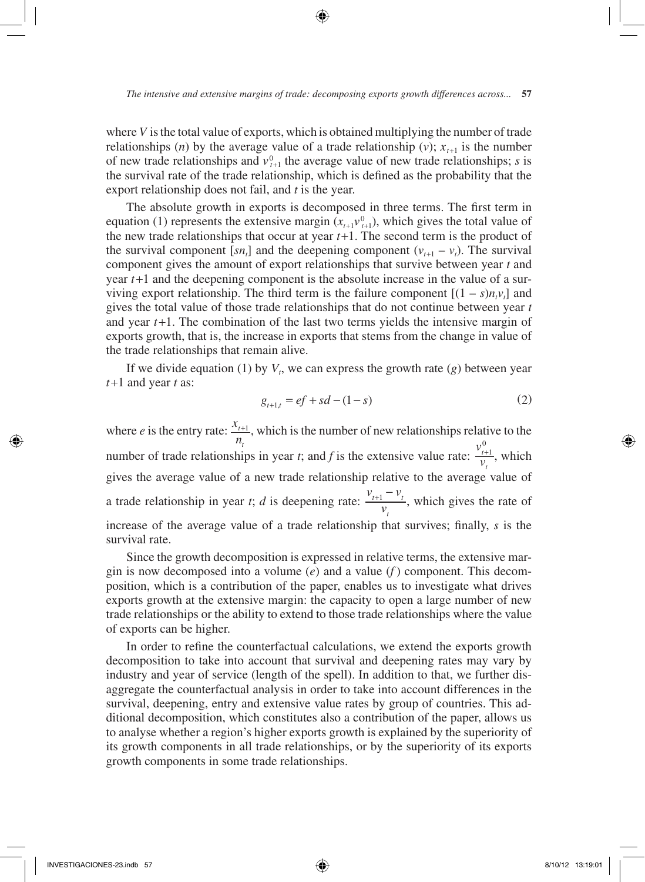where  $V$  is the total value of exports, which is obtained multiplying the number of trade relationships (*n*) by the average value of a trade relationship (*v*);  $x_{t+1}$  is the number of new trade relationships and  $v_{t+1}^0$  the average value of new trade relationships; *s* is the survival rate of the trade relationship, which is defined as the probability that the export relationship does not fail, and *t* is the year.

The absolute growth in exports is decomposed in three terms. The first term in equation (1) represents the extensive margin  $(x_{t+1}v_{t+1}^0)$ , which gives the total value of the new trade relationships that occur at year  $t+1$ . The second term is the product of the survival component  $[sn_t]$  and the deepening component  $(v_{t+1} - v_t)$ . The survival component gives the amount of export relationships that survive between year *t* and year *t*+1 and the deepening component is the absolute increase in the value of a surviving export relationship. The third term is the failure component  $[(1 - s)n<sub>t</sub>v<sub>t</sub>]$  and gives the total value of those trade relationships that do not continue between year *t* and year  $t+1$ . The combination of the last two terms yields the intensive margin of exports growth, that is, the increase in exports that stems from the change in value of the trade relationships that remain alive.

If we divide equation (1) by  $V_t$ , we can express the growth rate (*g*) between year *t*+1 and year *t* as:

$$
g_{t+1,t} = ef + sd - (1 - s)
$$
 (2)

where *e* is the entry rate:  $\frac{x_i}{n}$ *t*  $+1$ , which is the number of new relationships relative to the number of trade relationships in year *t*; and *f* is the extensive value rate:  $\frac{v}{2}$ *v t t*  $_{t+1}^{0}$ , which gives the average value of a new trade relationship relative to the average value of a trade relationship in year *t*; *d* is deepening rate:  $\frac{v_{t+1} - v}{v_{t+1}}$  $\frac{t+1}{v_t}$ *t*  $\frac{+1 - v_t}{v_t}$ , which gives the rate of increase of the average value of a trade relationship that survives; finally, *s* is the survival rate.

Since the growth decomposition is expressed in relative terms, the extensive margin is now decomposed into a volume (*e*) and a value (*f* ) component. This decomposition, which is a contribution of the paper, enables us to investigate what drives exports growth at the extensive margin: the capacity to open a large number of new trade relationships or the ability to extend to those trade relationships where the value of exports can be higher.

In order to refine the counterfactual calculations, we extend the exports growth decomposition to take into account that survival and deepening rates may vary by industry and year of service (length of the spell). In addition to that, we further disaggregate the counterfactual analysis in order to take into account differences in the survival, deepening, entry and extensive value rates by group of countries. This additional decomposition, which constitutes also a contribution of the paper, allows us to analyse whether a region's higher exports growth is explained by the superiority of its growth components in all trade relationships, or by the superiority of its exports growth components in some trade relationships.

⊕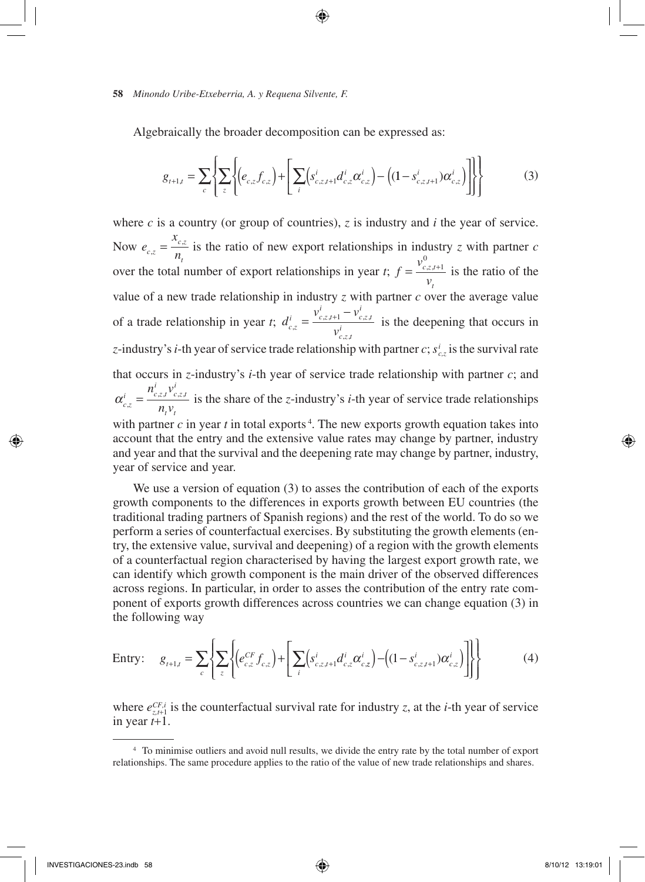Algebraically the broader decomposition can be expressed as:

⊕

$$
g_{t+1,t} = \sum_{c} \left\{ \sum_{z} \left\{ \left( e_{c,z} f_{c,z} \right) + \left[ \sum_{i} \left( s_{c,z,t+1}^{i} d_{c,z}^{i} \alpha_{c,z}^{i} \right) - \left( (1 - s_{c,z,t+1}^{i}) \alpha_{c,z}^{i} \right) \right] \right\} \right\}
$$
(3)

where  $c$  is a country (or group of countries),  $z$  is industry and  $i$  the year of service. Now *e x*  $\int_a^b$  *c*,z *n c z*  $\tau_z = \frac{x_{c,z}}{n_t}$  is the ratio of new export relationships in industry *z* with partner *c* over the total number of export relationships in year *t*; *f v v c z t t*  $=\frac{v_{c,z,t+1}^0}{\sqrt{2}}$ is the ratio of the value of a new trade relationship in industry  $z$  with partner  $c$  over the average value of a trade relationship in year *t*; *d*  $v_{c\, z\, t+1}^i - v$  $v^{c,z}$  *v*  $v^i_{c,z,t+1} - v^i_{c,z,t}$  $v_{c,z,t}^i$  $z, t+1$   $c, z,$ ,z,  $=\frac{v_{c,z,t+1}^i - v_{c,z,t}^i}{i}$  is the deepening that occurs in *z*-industry's *i*-th year of service trade relationship with partner *c*; *s<sup>i</sup> c,z* is the survival rate that occurs in *z*-industry's *i*-th year of service trade relationship with partner *c*; and  $\alpha_{c,z}^{i} = \frac{n_{c,z,t}^{i} v_{c,z,t}^{i}}{n v}$ *t t*  $n_{c}^{i}$ <sub>z</sub>,  $\nu$  $\sum_{i=1}^{\infty} \frac{n_{c,z,i}v_{c,z,i}}{n_{i}v_{i}}$  is the share of the *z*-industry's *i*-th year of service trade relationships with partner  $c$  in year  $t$  in total exports<sup>4</sup>. The new exports growth equation takes into account that the entry and the extensive value rates may change by partner, industry and year and that the survival and the deepening rate may change by partner, industry, year of service and year.

We use a version of equation (3) to asses the contribution of each of the exports growth components to the differences in exports growth between EU countries (the traditional trading partners of Spanish regions) and the rest of the world. To do so we perform a series of counterfactual exercises. By substituting the growth elements (entry, the extensive value, survival and deepening) of a region with the growth elements of a counterfactual region characterised by having the largest export growth rate, we can identify which growth component is the main driver of the observed differences across regions. In particular, in order to asses the contribution of the entry rate component of exports growth differences across countries we can change equation (3) in the following way

$$
\text{Entry:} \quad g_{t+1,t} = \sum_{c} \left\{ \sum_{z} \left\{ \left( e_{c,z}^{CF} f_{c,z} \right) + \left[ \sum_{i} \left( s_{c,z,t+1}^{i} d_{c,z}^{i} \alpha_{c,z}^{i} \right) - \left( (1 - s_{c,z,t+1}^{i}) \alpha_{c,z}^{i} \right) \right] \right\} \right\} \tag{4}
$$

where  $e_{z,t+1}^{CF,i}$  is the counterfactual survival rate for industry *z*, at the *i*-th year of service in year *t*+1.

₩

<sup>4</sup> To minimise outliers and avoid null results, we divide the entry rate by the total number of export relationships. The same procedure applies to the ratio of the value of new trade relationships and shares.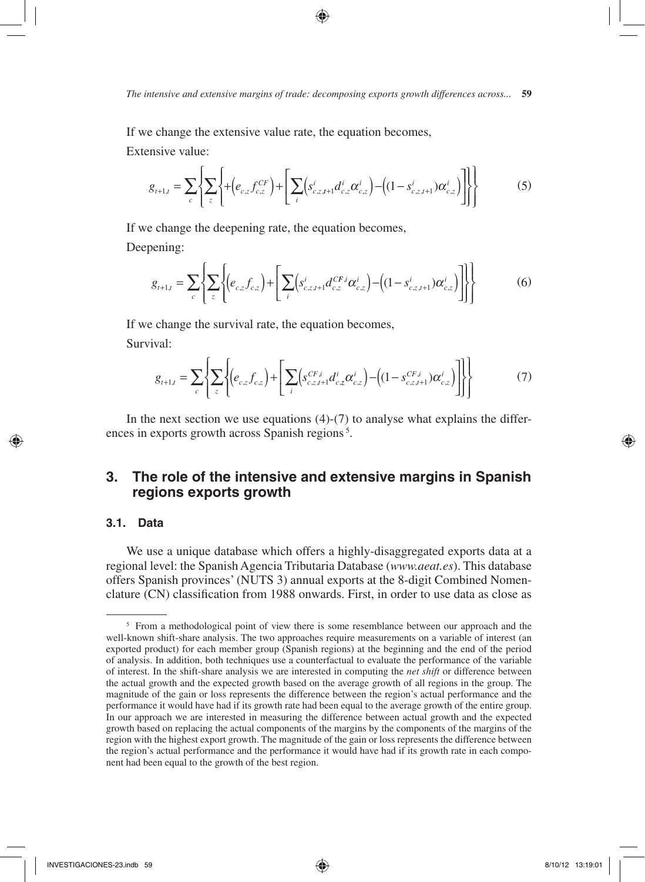If we change the extensive value rate, the equation becomes, Extensive value:

$$
g_{t+1,t} = \sum_{c} \left\{ \sum_{z} \left\{ + \left( e_{c,z} f_{c,z}^{CF} \right) + \left[ \sum_{i} \left( s_{c,z,t+1}^{i} d_{c,z}^{i} \alpha_{c,z}^{i} \right) - \left( (1 - s_{c,z,t+1}^{i}) \alpha_{c,z}^{i} \right) \right] \right\} \right\}
$$
(5)

If we change the deepening rate, the equation becomes, Deepening:

$$
g_{t+1,t} = \sum_{c} \left\{ \sum_{z} \left\{ \left( e_{c,z} f_{c,z} \right) + \left[ \sum_{i} \left( s_{c,z,t+1}^{i} d_{c,z}^{CF,i} \alpha_{c,z}^{i} \right) - \left( (1 - s_{c,z,t+1}^{i}) \alpha_{c,z}^{i} \right) \right] \right\} \right\}
$$
(6)

If we change the survival rate, the equation becomes, Survival:

$$
g_{t+1,t} = \sum_{c} \left\{ \sum_{z} \left\{ \left( e_{c,z} f_{c,z} \right) + \left[ \sum_{i} \left( s_{c,z,t+1}^{CF,i} d_{c,z}^{i} \alpha_{c,z}^{i} \right) - \left( (1 - s_{c,z,t+1}^{CF,i}) \alpha_{c,z}^{i} \right) \right] \right\} \right\}
$$
(7)

In the next section we use equations  $(4)-(7)$  to analyse what explains the differences in exports growth across Spanish regions<sup>5</sup>.

# **3. The role of the intensive and extensive margins in Spanish regions exports growth**

# **3.1. Data**

We use a unique database which offers a highly-disaggregated exports data at a regional level: the Spanish Agencia Tributaria Database (*www.aeat.es*). This database offers Spanish provinces' (NUTS 3) annual exports at the 8-digit Combined Nomenclature (CN) classification from 1988 onwards. First, in order to use data as close as

<sup>&</sup>lt;sup>5</sup> From a methodological point of view there is some resemblance between our approach and the well-known shift-share analysis. The two approaches require measurements on a variable of interest (an exported product) for each member group (Spanish regions) at the beginning and the end of the period of analysis. In addition, both techniques use a counterfactual to evaluate the performance of the variable of interest. In the shift-share analysis we are interested in computing the *net shift* or difference between the actual growth and the expected growth based on the average growth of all regions in the group. The magnitude of the gain or loss represents the difference between the region's actual performance and the performance it would have had if its growth rate had been equal to the average growth of the entire group. In our approach we are interested in measuring the difference between actual growth and the expected growth based on replacing the actual components of the margins by the components of the margins of the region with the highest export growth. The magnitude of the gain or loss represents the difference between the region's actual performance and the performance it would have had if its growth rate in each component had been equal to the growth of the best region.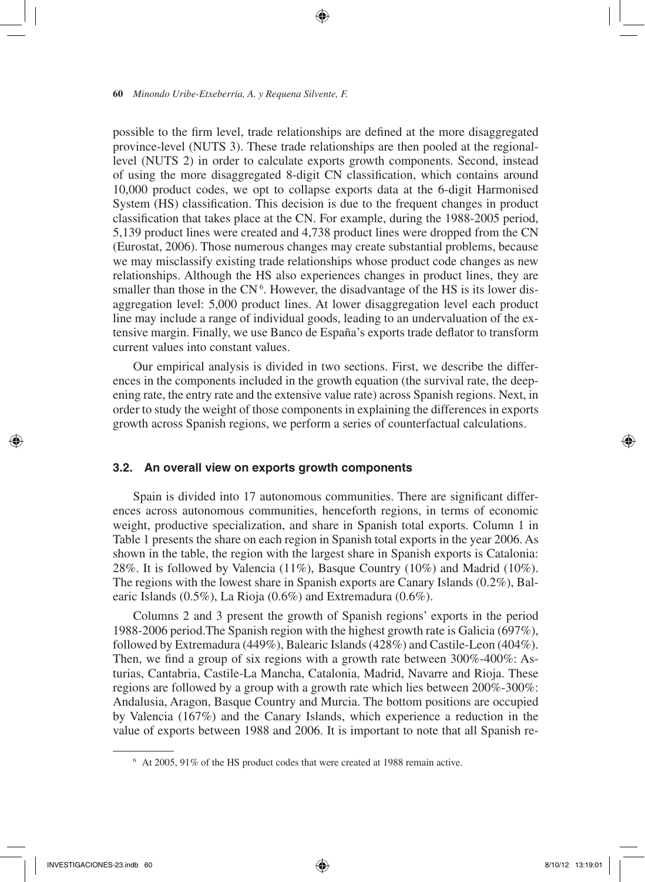possible to the firm level, trade relationships are defined at the more disaggregated province-level (NUTS 3). These trade relationships are then pooled at the regionallevel (NUTS 2) in order to calculate exports growth components. Second, instead of using the more disaggregated 8-digit CN classification, which contains around 10,000 product codes, we opt to collapse exports data at the 6-digit Harmonised System (HS) classification. This decision is due to the frequent changes in product classification that takes place at the CN. For example, during the 1988-2005 period, 5,139 product lines were created and 4,738 product lines were dropped from the CN (Eurostat, 2006). Those numerous changes may create substantial problems, because we may misclassify existing trade relationships whose product code changes as new relationships. Although the HS also experiences changes in product lines, they are smaller than those in the  $CN<sup>6</sup>$ . However, the disadvantage of the HS is its lower disaggregation level: 5,000 product lines. At lower disaggregation level each product line may include a range of individual goods, leading to an undervaluation of the extensive margin. Finally, we use Banco de España's exports trade deflator to transform current values into constant values.

↔

Our empirical analysis is divided in two sections. First, we describe the differences in the components included in the growth equation (the survival rate, the deepening rate, the entry rate and the extensive value rate) across Spanish regions. Next, in order to study the weight of those components in explaining the differences in exports growth across Spanish regions, we perform a series of counterfactual calculations.

## **3.2. An overall view on exports growth components**

Spain is divided into 17 autonomous communities. There are significant differences across autonomous communities, henceforth regions, in terms of economic weight, productive specialization, and share in Spanish total exports. Column 1 in Table 1 presents the share on each region in Spanish total exports in the year 2006. As shown in the table, the region with the largest share in Spanish exports is Catalonia: 28%. It is followed by Valencia (11%), Basque Country (10%) and Madrid (10%). The regions with the lowest share in Spanish exports are Canary Islands (0.2%), Balearic Islands (0.5%), La Rioja (0.6%) and Extremadura (0.6%).

Columns 2 and 3 present the growth of Spanish regions' exports in the period 1988-2006 period.The Spanish region with the highest growth rate is Galicia (697%), followed by Extremadura (449%), Balearic Islands (428%) and Castile-Leon (404%). Then, we find a group of six regions with a growth rate between 300%-400%: Asturias, Cantabria, Castile-La Mancha, Catalonia, Madrid, Navarre and Rioja. These regions are followed by a group with a growth rate which lies between 200%-300%: Andalusia, Aragon, Basque Country and Murcia. The bottom positions are occupied by Valencia (167%) and the Canary Islands, which experience a reduction in the value of exports between 1988 and 2006. It is important to note that all Spanish re-

₩

<sup>6</sup> At 2005, 91% of the HS product codes that were created at 1988 remain active.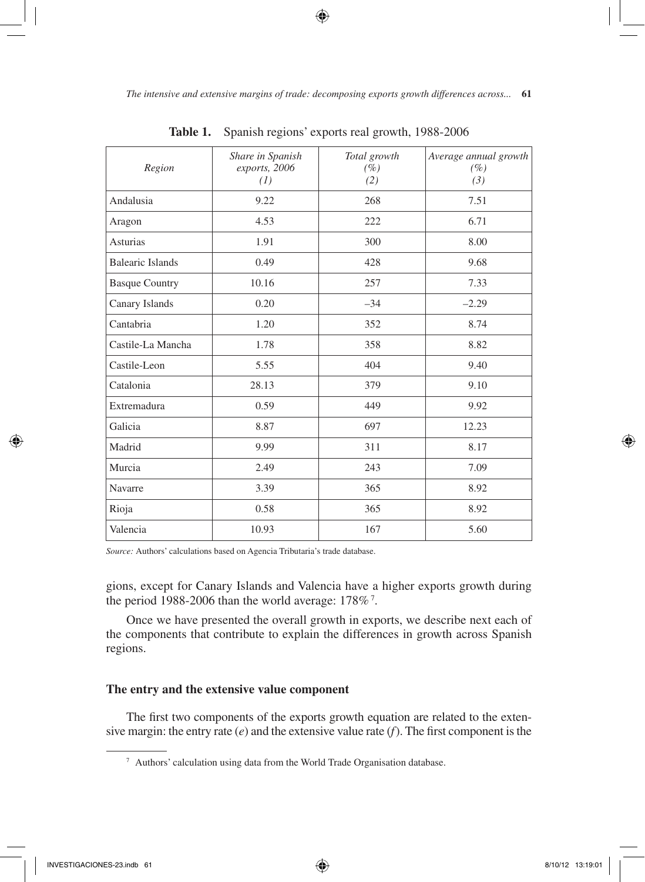*The intensive and extensive margins of trade: decomposing exports growth differences across...* **61**

⊕

| Region                  | Share in Spanish<br>exports, 2006<br>(1) | Total growth<br>(%)<br>(2) | Average annual growth<br>$(\%)$<br>(3) |
|-------------------------|------------------------------------------|----------------------------|----------------------------------------|
| Andalusia               | 9.22                                     | 268                        | 7.51                                   |
| Aragon                  | 4.53                                     | 222                        | 6.71                                   |
| <b>Asturias</b>         | 1.91                                     | 300                        | 8.00                                   |
| <b>Balearic Islands</b> | 0.49                                     | 428                        | 9.68                                   |
| <b>Basque Country</b>   | 10.16                                    | 257                        | 7.33                                   |
| Canary Islands          | 0.20                                     | $-34$                      | $-2.29$                                |
| Cantabria               | 1.20                                     | 352                        | 8.74                                   |
| Castile-La Mancha       | 1.78                                     | 358                        | 8.82                                   |
| Castile-Leon            | 5.55                                     | 404                        | 9.40                                   |
| Catalonia               | 28.13                                    | 379                        | 9.10                                   |
| Extremadura             | 0.59                                     | 449                        | 9.92                                   |
| Galicia                 | 8.87                                     | 697                        | 12.23                                  |
| Madrid                  | 9.99                                     | 311                        | 8.17                                   |
| Murcia                  | 2.49                                     | 243                        | 7.09                                   |
| Navarre                 | 3.39                                     | 365                        | 8.92                                   |
| Rioja                   | 0.58                                     | 365                        | 8.92                                   |
| Valencia                | 10.93                                    | 167                        | 5.60                                   |

**Table 1.** Spanish regions' exports real growth, 1988-2006

*Source:* Authors' calculations based on Agencia Tributaria's trade database.

gions, except for Canary Islands and Valencia have a higher exports growth during the period 1988-2006 than the world average:  $178\%$ <sup>7</sup>.

Once we have presented the overall growth in exports, we describe next each of the components that contribute to explain the differences in growth across Spanish regions.

## **The entry and the extensive value component**

The first two components of the exports growth equation are related to the extensive margin: the entry rate (*e*) and the extensive value rate (*f*). The first component is the

⊕

<sup>7</sup> Authors' calculation using data from the World Trade Organisation database.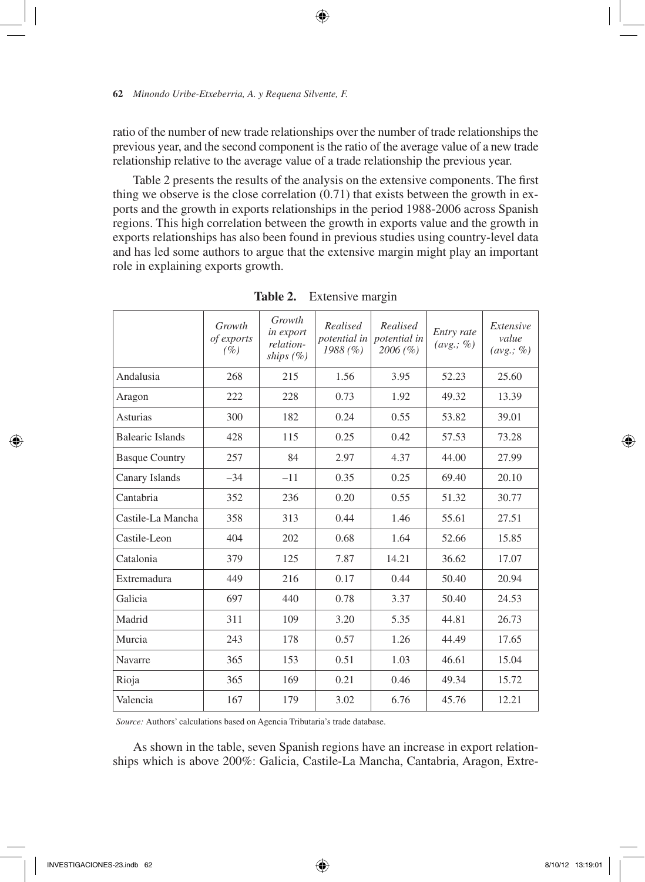ratio of the number of new trade relationships over the number of trade relationships the previous year, and the second component is the ratio of the average value of a new trade relationship relative to the average value of a trade relationship the previous year.

⊕

Table 2 presents the results of the analysis on the extensive components. The first thing we observe is the close correlation (0.71) that exists between the growth in exports and the growth in exports relationships in the period 1988-2006 across Spanish regions. This high correlation between the growth in exports value and the growth in exports relationships has also been found in previous studies using country-level data and has led some authors to argue that the extensive margin might play an important role in explaining exports growth.

|                       | Growth<br>of exports<br>$(\%)$ | Growth<br>in export<br>relation-<br>ships $(\%)$ | Realised<br><i>potential in</i><br>1988(%) | Realised<br>Entry rate<br>potential in<br>(avg.; %)<br>2006(%) |       | Extensive<br>value<br>(avg.; %) |
|-----------------------|--------------------------------|--------------------------------------------------|--------------------------------------------|----------------------------------------------------------------|-------|---------------------------------|
| Andalusia             | 268                            | 215                                              | 1.56                                       | 3.95                                                           | 52.23 | 25.60                           |
| Aragon                | 222                            | 228                                              | 0.73                                       | 1.92                                                           | 49.32 | 13.39                           |
| <b>Asturias</b>       | 300                            | 182                                              | 0.24                                       | 0.55                                                           | 53.82 | 39.01                           |
| Balearic Islands      | 428                            | 115                                              | 0.25                                       | 0.42                                                           | 57.53 | 73.28                           |
| <b>Basque Country</b> | 257                            | 84                                               | 2.97                                       | 4.37                                                           | 44.00 | 27.99                           |
| Canary Islands        | $-34$                          | $-11$                                            | 0.35                                       | 0.25                                                           | 69.40 | 20.10                           |
| Cantabria             | 352                            | 236                                              | 0.20                                       | 0.55                                                           | 51.32 | 30.77                           |
| Castile-La Mancha     | 358                            | 313                                              | 0.44                                       | 1.46                                                           | 55.61 | 27.51                           |
| Castile-Leon          | 404                            | 202                                              | 0.68                                       | 1.64                                                           | 52.66 | 15.85                           |
| Catalonia             | 379                            | 125                                              | 7.87                                       | 14.21                                                          | 36.62 | 17.07                           |
| Extremadura           | 449                            | 216                                              | 0.17                                       | 0.44                                                           | 50.40 | 20.94                           |
| Galicia               | 697                            | 440                                              | 0.78                                       | 3.37                                                           | 50.40 | 24.53                           |
| Madrid                | 311                            | 109                                              | 3.20                                       | 5.35                                                           | 44.81 | 26.73                           |
| Murcia                | 243                            | 178                                              | 0.57                                       | 1.26                                                           | 44.49 | 17.65                           |
| Navarre               | 365                            | 153                                              | 0.51                                       | 1.03                                                           | 46.61 | 15.04                           |
| Rioja                 | 365                            | 169                                              | 0.21                                       | 0.46                                                           | 49.34 | 15.72                           |
| Valencia              | 167                            | 179                                              | 3.02                                       | 6.76                                                           | 45.76 | 12.21                           |

**Table 2.** Extensive margin

*Source:* Authors' calculations based on Agencia Tributaria's trade database.

As shown in the table, seven Spanish regions have an increase in export relationships which is above 200%: Galicia, Castile-La Mancha, Cantabria, Aragon, Extre-

₩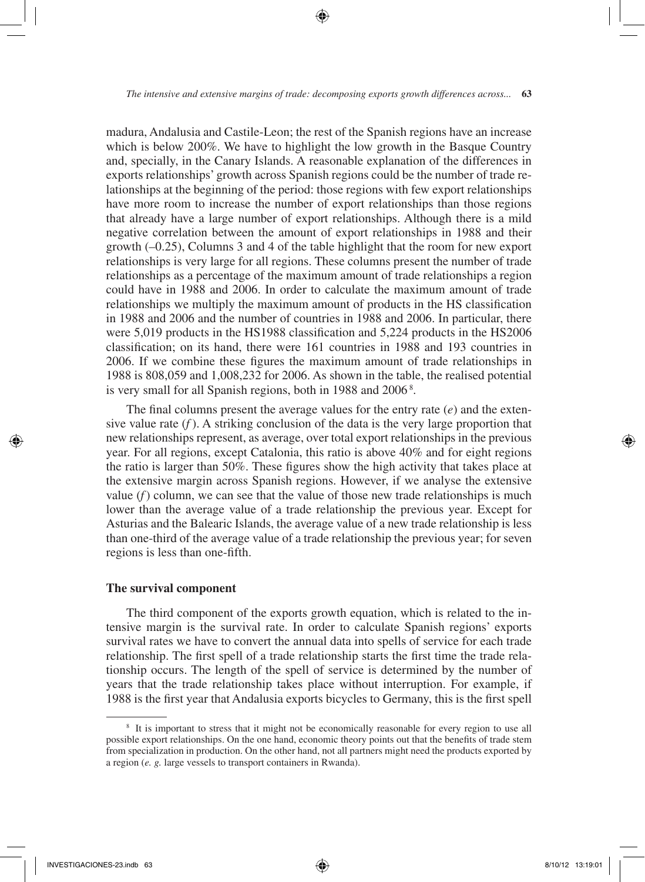madura, Andalusia and Castile-Leon; the rest of the Spanish regions have an increase which is below 200%. We have to highlight the low growth in the Basque Country and, specially, in the Canary Islands. A reasonable explanation of the differences in exports relationships' growth across Spanish regions could be the number of trade relationships at the beginning of the period: those regions with few export relationships have more room to increase the number of export relationships than those regions that already have a large number of export relationships. Although there is a mild negative correlation between the amount of export relationships in 1988 and their growth (–0.25), Columns 3 and 4 of the table highlight that the room for new export relationships is very large for all regions. These columns present the number of trade relationships as a percentage of the maximum amount of trade relationships a region could have in 1988 and 2006. In order to calculate the maximum amount of trade relationships we multiply the maximum amount of products in the HS classification in 1988 and 2006 and the number of countries in 1988 and 2006. In particular, there were 5,019 products in the HS1988 classification and 5,224 products in the HS2006 classification; on its hand, there were 161 countries in 1988 and 193 countries in 2006. If we combine these figures the maximum amount of trade relationships in 1988 is 808,059 and 1,008,232 for 2006. As shown in the table, the realised potential is very small for all Spanish regions, both in 1988 and 2006<sup>8</sup>.

The final columns present the average values for the entry rate (*e*) and the extensive value rate  $(f)$ . A striking conclusion of the data is the very large proportion that new relationships represent, as average, over total export relationships in the previous year. For all regions, except Catalonia, this ratio is above 40% and for eight regions the ratio is larger than 50%. These figures show the high activity that takes place at the extensive margin across Spanish regions. However, if we analyse the extensive value  $(f)$  column, we can see that the value of those new trade relationships is much lower than the average value of a trade relationship the previous year. Except for Asturias and the Balearic Islands, the average value of a new trade relationship is less than one-third of the average value of a trade relationship the previous year; for seven regions is less than one-fifth.

## **The survival component**

The third component of the exports growth equation, which is related to the intensive margin is the survival rate. In order to calculate Spanish regions' exports survival rates we have to convert the annual data into spells of service for each trade relationship. The first spell of a trade relationship starts the first time the trade relationship occurs. The length of the spell of service is determined by the number of years that the trade relationship takes place without interruption. For example, if 1988 is the first year that Andalusia exports bicycles to Germany, this is the first spell

<sup>&</sup>lt;sup>8</sup> It is important to stress that it might not be economically reasonable for every region to use all possible export relationships. On the one hand, economic theory points out that the benefits of trade stem from specialization in production. On the other hand, not all partners might need the products exported by a region (*e. g.* large vessels to transport containers in Rwanda).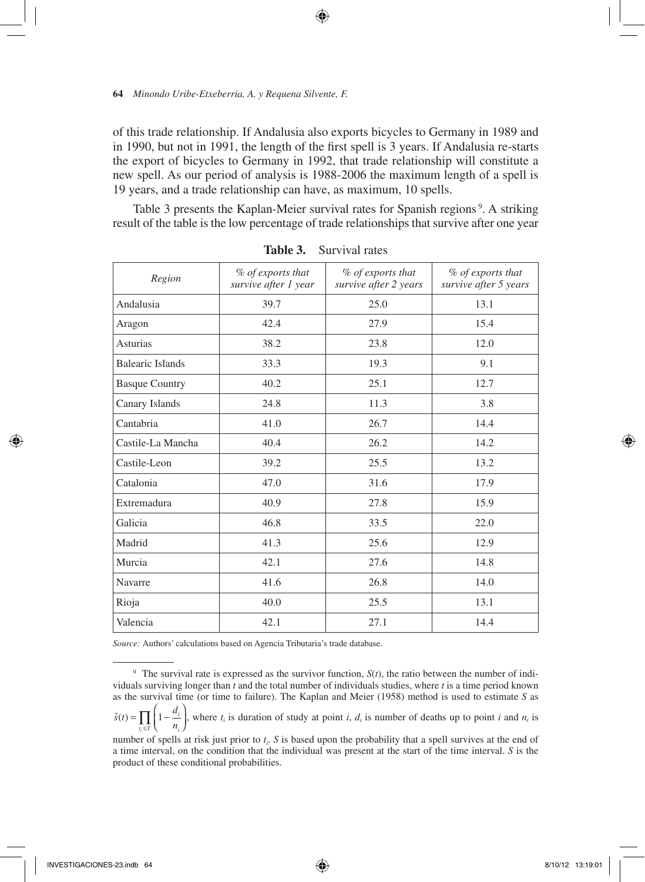of this trade relationship. If Andalusia also exports bicycles to Germany in 1989 and in 1990, but not in 1991, the length of the first spell is 3 years. If Andalusia re-starts the export of bicycles to Germany in 1992, that trade relationship will constitute a new spell. As our period of analysis is 1988-2006 the maximum length of a spell is 19 years, and a trade relationship can have, as maximum, 10 spells.

↔

Table 3 presents the Kaplan-Meier survival rates for Spanish regions<sup>9</sup>. A striking result of the table is the low percentage of trade relationships that survive after one year

| Region                | % of exports that<br>survive after 1 year | % of exports that<br>survive after 2 years | % of exports that<br>survive after 5 years |
|-----------------------|-------------------------------------------|--------------------------------------------|--------------------------------------------|
| Andalusia             | 39.7                                      | 25.0                                       | 13.1                                       |
| Aragon                | 42.4                                      | 27.9                                       | 15.4                                       |
| Asturias              | 38.2                                      | 23.8                                       | 12.0                                       |
| Balearic Islands      | 33.3                                      | 19.3                                       | 9.1                                        |
| <b>Basque Country</b> | 40.2                                      | 25.1                                       | 12.7                                       |
| Canary Islands        | 24.8                                      | 11.3                                       | 3.8                                        |
| Cantabria             | 41.0                                      | 26.7                                       | 14.4                                       |
| Castile-La Mancha     | 40.4                                      | 26.2                                       | 14.2                                       |
| Castile-Leon          | 39.2                                      | 25.5                                       | 13.2                                       |
| Catalonia             | 47.0                                      | 31.6                                       | 17.9                                       |
| Extremadura           | 40.9                                      | 27.8                                       | 15.9                                       |
| Galicia               | 46.8                                      | 33.5                                       | 22.0                                       |
| Madrid                | 41.3                                      | 25.6                                       | 12.9                                       |
| Murcia                | 42.1                                      | 27.6                                       | 14.8                                       |
| Navarre               | 41.6                                      | 26.8                                       | 14.0                                       |
| Rioja                 | 40.0                                      | 25.5                                       | 13.1                                       |
| Valencia              | 42.1                                      | 27.1                                       | 14.4                                       |

**Table 3.** Survival rates

*Source:* Authors' calculations based on Agencia Tributaria's trade database.

<sup>9</sup> The survival rate is expressed as the survivor function, *S*(*t*), the ratio between the number of individuals surviving longer than *t* and the total number of individuals studies, where *t* is a time period known as the survival time (or time to failure). The Kaplan and Meier (1958) method is used to estimate *S* as

 $\hat{s}(t) = \prod \left(1 - \frac{d}{t}\right)$  $\frac{a_i}{n_i}$  $t_i \leq T \quad \overline{u_i}$  $=\prod_{t_i\leq T}\Bigg(1-$ I  $\prod_{t_i \leq T} \left(1 - \frac{a_i}{n_i}\right)$ , where  $t_i$  is duration of study at point *i*,  $d_i$  is number of deaths up to point *i* and  $n_i$  is

number of spells at risk just prior to  $t_i$ . *S* is based upon the probability that a spell survives at the end of a time interval, on the condition that the individual was present at the start of the time interval. *S* is the product of these conditional probabilities.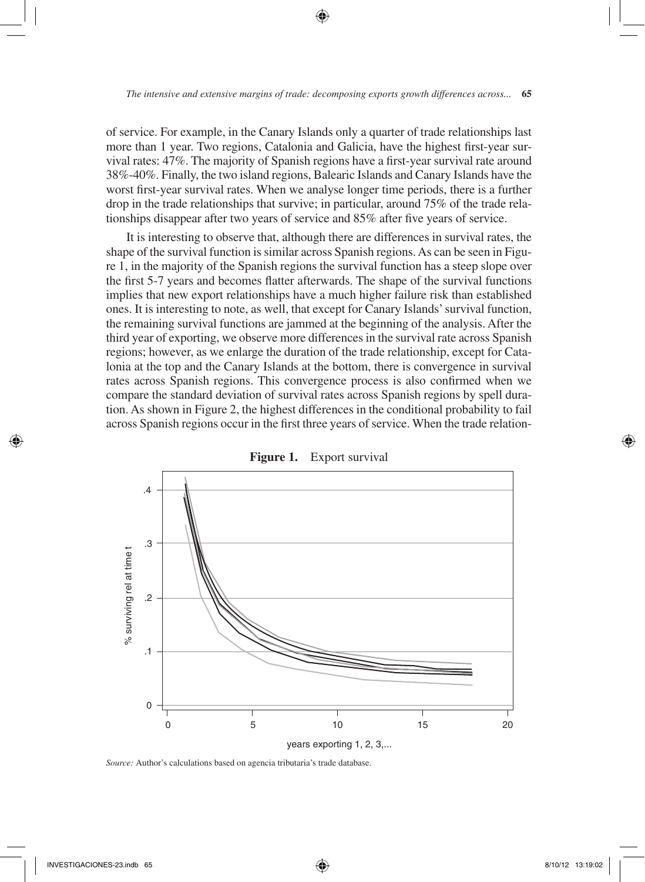of service. For example, in the Canary Islands only a quarter of trade relationships last more than 1 year. Two regions, Catalonia and Galicia, have the highest first-year survival rates: 47%. The majority of Spanish regions have a first-year survival rate around 38%-40%. Finally, the two island regions, Balearic Islands and Canary Islands have the worst first-year survival rates. When we analyse longer time periods, there is a further drop in the trade relationships that survive; in particular, around 75% of the trade relationships disappear after two years of service and 85% after five years of service.

It is interesting to observe that, although there are differences in survival rates, the shape of the survival function is similar across Spanish regions. As can be seen in Figure 1, in the majority of the Spanish regions the survival function has a steep slope over the first 5-7 years and becomes flatter afterwards. The shape of the survival functions implies that new export relationships have a much higher failure risk than established ones. It is interesting to note, as well, that except for Canary Islands' survival function, the remaining survival functions are jammed at the beginning of the analysis. After the third year of exporting, we observe more differences in the survival rate across Spanish regions; however, as we enlarge the duration of the trade relationship, except for Catalonia at the top and the Canary Islands at the bottom, there is convergence in survival rates across Spanish regions. This convergence process is also confirmed when we compare the standard deviation of survival rates across Spanish regions by spell duration. As shown in Figure 2, the highest differences in the conditional probability to fail across Spanish regions occur in the first three years of service. When the trade relation-



**Figure 1.** Export survival

*Source:* Author's calculations based on agencia tributaria's trade database.

⊕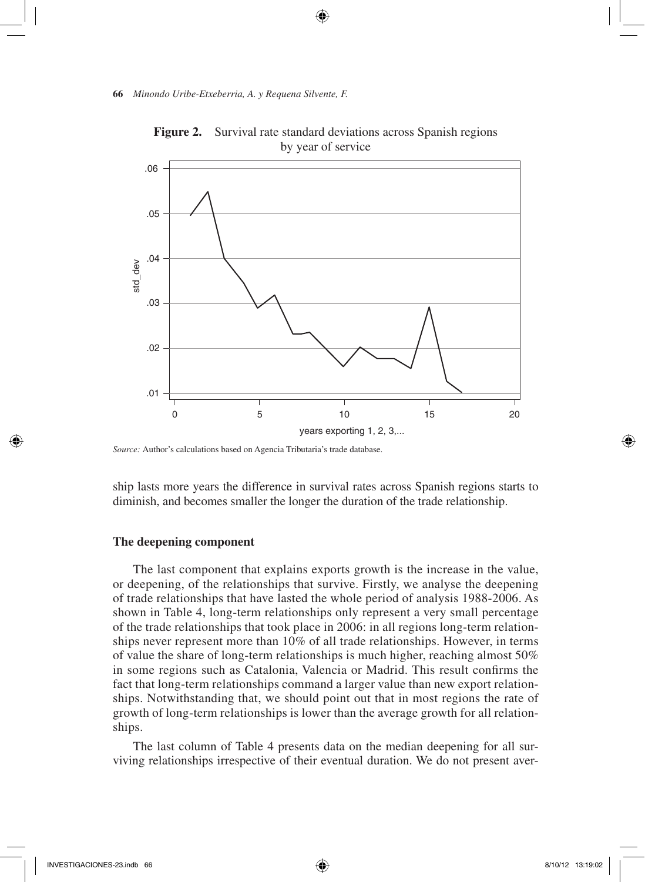

**Figure 2.** Survival rate standard deviations across Spanish regions by year of service

ship lasts more years the difference in survival rates across Spanish regions starts to diminish, and becomes smaller the longer the duration of the trade relationship.

# **The deepening component**

The last component that explains exports growth is the increase in the value, or deepening, of the relationships that survive. Firstly, we analyse the deepening of trade relationships that have lasted the whole period of analysis 1988-2006. As shown in Table 4, long-term relationships only represent a very small percentage of the trade relationships that took place in 2006: in all regions long-term relationships never represent more than 10% of all trade relationships. However, in terms of value the share of long-term relationships is much higher, reaching almost 50% in some regions such as Catalonia, Valencia or Madrid. This result confirms the fact that long-term relationships command a larger value than new export relationships. Notwithstanding that, we should point out that in most regions the rate of growth of long-term relationships is lower than the average growth for all relationships.

The last column of Table 4 presents data on the median deepening for all surviving relationships irrespective of their eventual duration. We do not present aver-

↔

*Source:* Author's calculations based on Agencia Tributaria's trade database.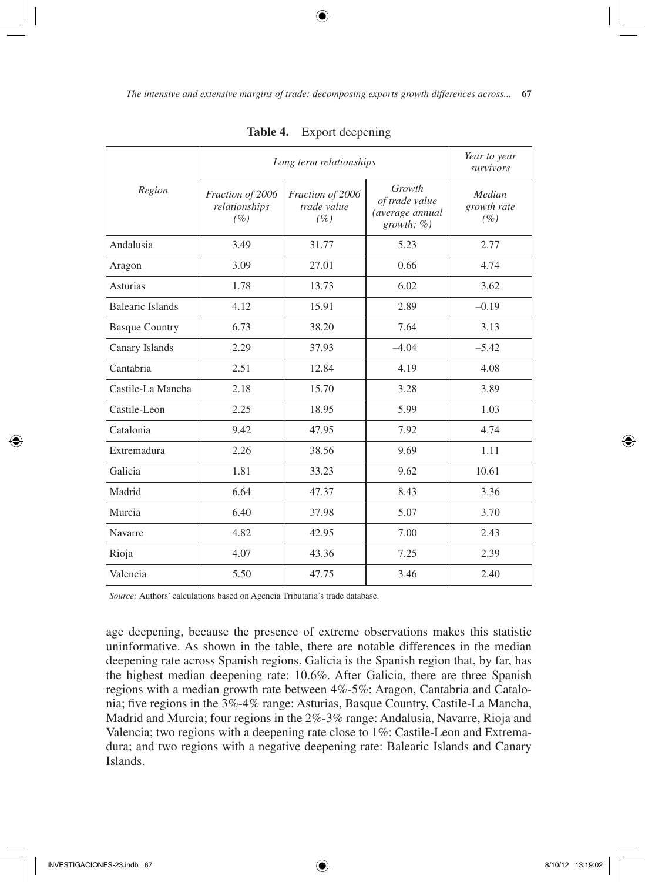|                         | Long term relationships                     | Year to year<br>survivors              |                                                               |                              |
|-------------------------|---------------------------------------------|----------------------------------------|---------------------------------------------------------------|------------------------------|
| Region                  | Fraction of 2006<br>relationships<br>$(\%)$ | Fraction of 2006<br>trade value<br>(%) | Growth<br>of trade value<br>(average annual<br>growth; $\%$ ) | Median<br>growth rate<br>(%) |
| Andalusia               | 3.49                                        | 31.77                                  | 5.23                                                          | 2.77                         |
| Aragon                  | 3.09                                        | 27.01                                  | 0.66                                                          | 4.74                         |
| <b>Asturias</b>         | 1.78                                        | 13.73                                  | 6.02                                                          | 3.62                         |
| <b>Balearic Islands</b> | 4.12                                        | 15.91                                  | 2.89                                                          | $-0.19$                      |
| <b>Basque Country</b>   | 6.73                                        | 38.20                                  | 7.64                                                          | 3.13                         |
| Canary Islands          | 2.29                                        | 37.93                                  | $-4.04$                                                       | $-5.42$                      |
| Cantabria               | 2.51                                        | 12.84                                  | 4.19                                                          | 4.08                         |
| Castile-La Mancha       | 2.18                                        | 15.70                                  | 3.28                                                          | 3.89                         |
| Castile-Leon            | 2.25                                        | 18.95                                  | 5.99                                                          | 1.03                         |
| Catalonia               | 9.42                                        | 47.95                                  | 7.92                                                          | 4.74                         |
| Extremadura             | 2.26                                        | 38.56                                  | 9.69                                                          | 1.11                         |
| Galicia                 | 1.81                                        | 33.23                                  | 9.62                                                          | 10.61                        |
| Madrid                  | 6.64                                        | 47.37                                  | 8.43                                                          | 3.36                         |
| Murcia                  | 6.40                                        | 37.98                                  | 5.07                                                          | 3.70                         |
| Navarre                 | 4.82                                        | 42.95                                  | 7.00                                                          | 2.43                         |
| Rioja                   | 4.07                                        | 43.36                                  | 7.25                                                          | 2.39                         |
| Valencia                | 5.50                                        | 47.75                                  | 3.46                                                          | 2.40                         |

| Table 4. |  | Export deepening |
|----------|--|------------------|
|----------|--|------------------|

*Source:* Authors' calculations based on Agencia Tributaria's trade database.

age deepening, because the presence of extreme observations makes this statistic uninformative. As shown in the table, there are notable differences in the median deepening rate across Spanish regions. Galicia is the Spanish region that, by far, has the highest median deepening rate: 10.6%. After Galicia, there are three Spanish regions with a median growth rate between 4%-5%: Aragon, Cantabria and Catalonia; five regions in the 3%-4% range: Asturias, Basque Country, Castile-La Mancha, Madrid and Murcia; four regions in the 2%-3% range: Andalusia, Navarre, Rioja and Valencia; two regions with a deepening rate close to 1%: Castile-Leon and Extremadura; and two regions with a negative deepening rate: Balearic Islands and Canary Islands.

⊕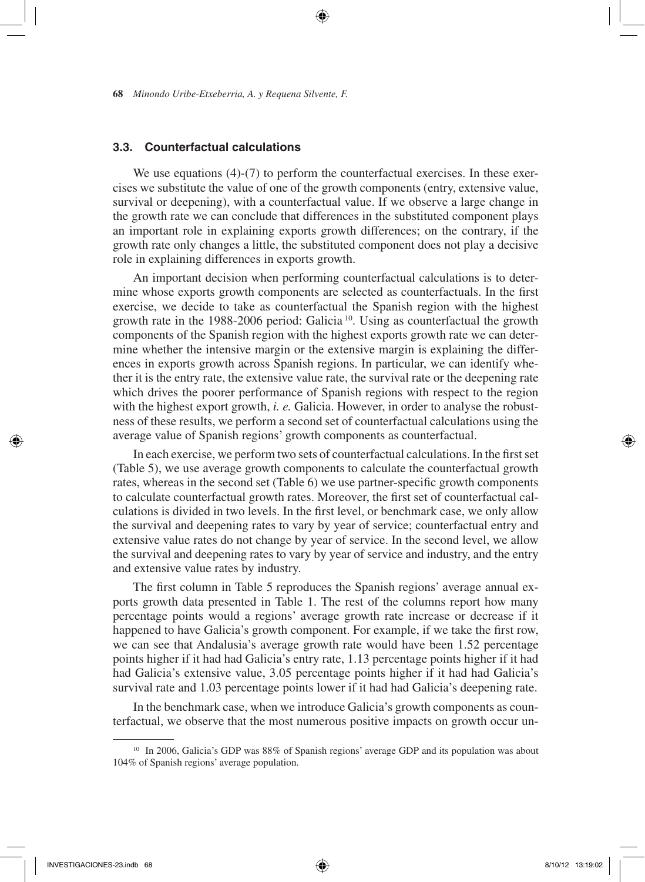## **3.3. Counterfactual calculations**

We use equations (4)-(7) to perform the counterfactual exercises. In these exercises we substitute the value of one of the growth components (entry, extensive value, survival or deepening), with a counterfactual value. If we observe a large change in the growth rate we can conclude that differences in the substituted component plays an important role in explaining exports growth differences; on the contrary, if the growth rate only changes a little, the substituted component does not play a decisive role in explaining differences in exports growth.

⊕

An important decision when performing counterfactual calculations is to determine whose exports growth components are selected as counterfactuals. In the first exercise, we decide to take as counterfactual the Spanish region with the highest growth rate in the 1988-2006 period: Galicia<sup>10</sup>. Using as counterfactual the growth components of the Spanish region with the highest exports growth rate we can determine whether the intensive margin or the extensive margin is explaining the differences in exports growth across Spanish regions. In particular, we can identify whether it is the entry rate, the extensive value rate, the survival rate or the deepening rate which drives the poorer performance of Spanish regions with respect to the region with the highest export growth, *i. e.* Galicia. However, in order to analyse the robustness of these results, we perform a second set of counterfactual calculations using the average value of Spanish regions' growth components as counterfactual.

In each exercise, we perform two sets of counterfactual calculations. In the first set (Table 5), we use average growth components to calculate the counterfactual growth rates, whereas in the second set (Table 6) we use partner-specific growth components to calculate counterfactual growth rates. Moreover, the first set of counterfactual calculations is divided in two levels. In the first level, or benchmark case, we only allow the survival and deepening rates to vary by year of service; counterfactual entry and extensive value rates do not change by year of service. In the second level, we allow the survival and deepening rates to vary by year of service and industry, and the entry and extensive value rates by industry.

The first column in Table 5 reproduces the Spanish regions' average annual exports growth data presented in Table 1. The rest of the columns report how many percentage points would a regions' average growth rate increase or decrease if it happened to have Galicia's growth component. For example, if we take the first row, we can see that Andalusia's average growth rate would have been 1.52 percentage points higher if it had had Galicia's entry rate, 1.13 percentage points higher if it had had Galicia's extensive value, 3.05 percentage points higher if it had had Galicia's survival rate and 1.03 percentage points lower if it had had Galicia's deepening rate.

In the benchmark case, when we introduce Galicia's growth components as counterfactual, we observe that the most numerous positive impacts on growth occur un-

INVESTIGACIONES-23.indb 68 8/10/12 13:19:02

<sup>&</sup>lt;sup>10</sup> In 2006, Galicia's GDP was 88% of Spanish regions' average GDP and its population was about 104% of Spanish regions' average population.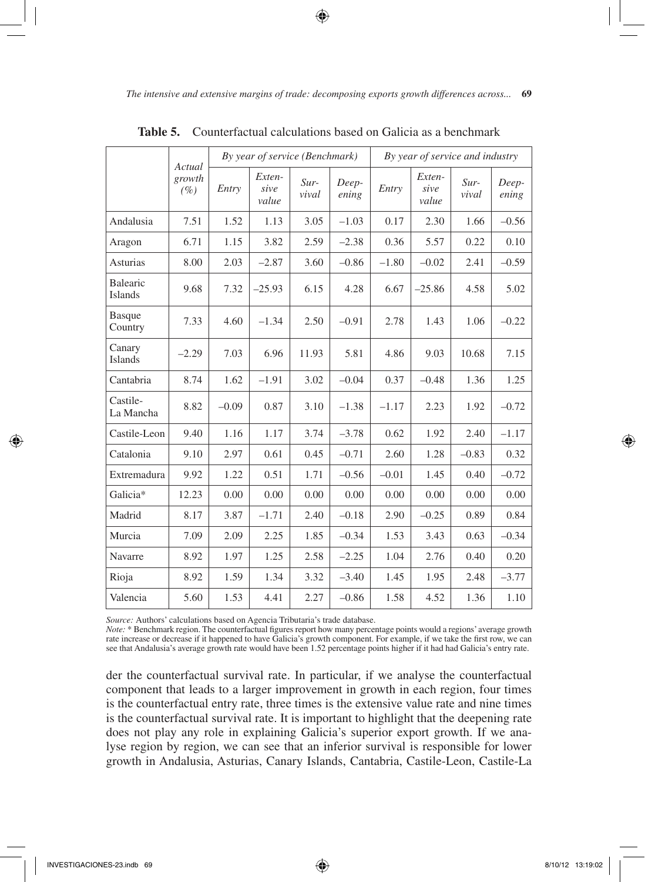*The intensive and extensive margins of trade: decomposing exports growth differences across...* **69**

|                          | Actual           | By year of service (Benchmark) |                         |                 |                | By year of service and industry |                         |                 |                |
|--------------------------|------------------|--------------------------------|-------------------------|-----------------|----------------|---------------------------------|-------------------------|-----------------|----------------|
|                          | growth<br>$(\%)$ | Entry                          | Exten-<br>sive<br>value | $Sur-$<br>vival | Deep-<br>ening | Entry                           | Exten-<br>sive<br>value | $Sur-$<br>vival | Deep-<br>ening |
| Andalusia                | 7.51             | 1.52                           | 1.13                    | 3.05            | $-1.03$        | 0.17                            | 2.30                    | 1.66            | $-0.56$        |
| Aragon                   | 6.71             | 1.15                           | 3.82                    | 2.59            | $-2.38$        | 0.36                            | 5.57                    | 0.22            | 0.10           |
| Asturias                 | 8.00             | 2.03                           | $-2.87$                 | 3.60            | $-0.86$        | $-1.80$                         | $-0.02$                 | 2.41            | $-0.59$        |
| Balearic<br>Islands      | 9.68             | 7.32                           | $-25.93$                | 6.15            | 4.28           | 6.67                            | $-25.86$                | 4.58            | 5.02           |
| <b>Basque</b><br>Country | 7.33             | 4.60                           | $-1.34$                 | 2.50            | $-0.91$        | 2.78                            | 1.43                    | 1.06            | $-0.22$        |
| Canary<br>Islands        | $-2.29$          | 7.03                           | 6.96                    | 11.93           | 5.81           | 4.86                            | 9.03                    | 10.68           | 7.15           |
| Cantabria                | 8.74             | 1.62                           | $-1.91$                 | 3.02            | $-0.04$        | 0.37                            | $-0.48$                 | 1.36            | 1.25           |
| Castile-<br>La Mancha    | 8.82             | $-0.09$                        | 0.87                    | 3.10            | $-1.38$        | $-1.17$                         | 2.23                    | 1.92            | $-0.72$        |
| Castile-Leon             | 9.40             | 1.16                           | 1.17                    | 3.74            | $-3.78$        | 0.62                            | 1.92                    | 2.40            | $-1.17$        |
| Catalonia                | 9.10             | 2.97                           | 0.61                    | 0.45            | $-0.71$        | 2.60                            | 1.28                    | $-0.83$         | 0.32           |
| Extremadura              | 9.92             | 1.22                           | 0.51                    | 1.71            | $-0.56$        | $-0.01$                         | 1.45                    | 0.40            | $-0.72$        |
| Galicia*                 | 12.23            | 0.00                           | 0.00                    | 0.00            | 0.00           | 0.00                            | 0.00                    | 0.00            | 0.00           |
| Madrid                   | 8.17             | 3.87                           | $-1.71$                 | 2.40            | $-0.18$        | 2.90                            | $-0.25$                 | 0.89            | 0.84           |
| Murcia                   | 7.09             | 2.09                           | 2.25                    | 1.85            | $-0.34$        | 1.53                            | 3.43                    | 0.63            | $-0.34$        |
| Navarre                  | 8.92             | 1.97                           | 1.25                    | 2.58            | $-2.25$        | 1.04                            | 2.76                    | 0.40            | 0.20           |
| Rioja                    | 8.92             | 1.59                           | 1.34                    | 3.32            | $-3.40$        | 1.45                            | 1.95                    | 2.48            | $-3.77$        |
| Valencia                 | 5.60             | 1.53                           | 4.41                    | 2.27            | $-0.86$        | 1.58                            | 4.52                    | 1.36            | 1.10           |

**Table 5.** Counterfactual calculations based on Galicia as a benchmark

⊕

*Source:* Authors' calculations based on Agencia Tributaria's trade database.

*Note:* \* Benchmark region. The counterfactual figures report how many percentage points would a regions' average growth rate increase or decrease if it happened to have Galicia's growth component. For example, if we take the first row, we can see that Andalusia's average growth rate would have been 1.52 percentage points higher if it had had Galicia's entry rate.

der the counterfactual survival rate. In particular, if we analyse the counterfactual component that leads to a larger improvement in growth in each region, four times is the counterfactual entry rate, three times is the extensive value rate and nine times is the counterfactual survival rate. It is important to highlight that the deepening rate does not play any role in explaining Galicia's superior export growth. If we analyse region by region, we can see that an inferior survival is responsible for lower growth in Andalusia, Asturias, Canary Islands, Cantabria, Castile-Leon, Castile-La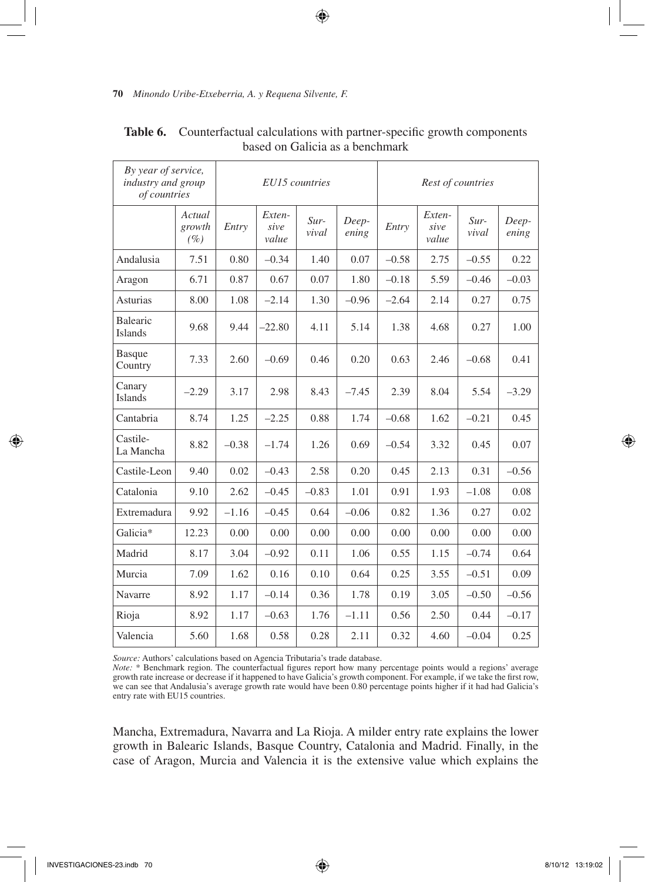| By year of service,<br>industry and group<br>of countries |                            |         |                         | EU15 countries  |                | Rest of countries |                         |                 |                |
|-----------------------------------------------------------|----------------------------|---------|-------------------------|-----------------|----------------|-------------------|-------------------------|-----------------|----------------|
|                                                           | Actual<br>growth<br>$(\%)$ | Entry   | Exten-<br>sive<br>value | $Sur-$<br>vival | Deep-<br>ening | Entry             | Exten-<br>sive<br>value | $Sur-$<br>vival | Deep-<br>ening |
| Andalusia                                                 | 7.51                       | 0.80    | $-0.34$                 | 1.40            | 0.07           | $-0.58$           | 2.75                    | $-0.55$         | 0.22           |
| Aragon                                                    | 6.71                       | 0.87    | 0.67                    | 0.07            | 1.80           | $-0.18$           | 5.59                    | $-0.46$         | $-0.03$        |
| <b>Asturias</b>                                           | 8.00                       | 1.08    | $-2.14$                 | 1.30            | $-0.96$        | $-2.64$           | 2.14                    | 0.27            | 0.75           |
| Balearic<br><b>Islands</b>                                | 9.68                       | 9.44    | $-22.80$                | 4.11            | 5.14           | 1.38              | 4.68                    | 0.27            | 1.00           |
| <b>Basque</b><br>Country                                  | 7.33                       | 2.60    | $-0.69$                 | 0.46            | 0.20           | 0.63              | 2.46                    | $-0.68$         | 0.41           |
| Canary<br><b>Islands</b>                                  | $-2.29$                    | 3.17    | 2.98                    | 8.43            | $-7.45$        | 2.39              | 8.04                    | 5.54            | $-3.29$        |
| Cantabria                                                 | 8.74                       | 1.25    | $-2.25$                 | 0.88            | 1.74           | $-0.68$           | 1.62                    | $-0.21$         | 0.45           |
| Castile-<br>La Mancha                                     | 8.82                       | $-0.38$ | $-1.74$                 | 1.26            | 0.69           | $-0.54$           | 3.32                    | 0.45            | 0.07           |
| Castile-Leon                                              | 9.40                       | 0.02    | $-0.43$                 | 2.58            | 0.20           | 0.45              | 2.13                    | 0.31            | $-0.56$        |
| Catalonia                                                 | 9.10                       | 2.62    | $-0.45$                 | $-0.83$         | 1.01           | 0.91              | 1.93                    | $-1.08$         | 0.08           |
| Extremadura                                               | 9.92                       | $-1.16$ | $-0.45$                 | 0.64            | $-0.06$        | 0.82              | 1.36                    | 0.27            | 0.02           |
| Galicia*                                                  | 12.23                      | 0.00    | 0.00                    | 0.00            | 0.00           | 0.00              | 0.00                    | 0.00            | 0.00           |
| Madrid                                                    | 8.17                       | 3.04    | $-0.92$                 | 0.11            | 1.06           | 0.55              | 1.15                    | $-0.74$         | 0.64           |
| Murcia                                                    | 7.09                       | 1.62    | 0.16                    | 0.10            | 0.64           | 0.25              | 3.55                    | $-0.51$         | 0.09           |
| Navarre                                                   | 8.92                       | 1.17    | $-0.14$                 | 0.36            | 1.78           | 0.19              | 3.05                    | $-0.50$         | $-0.56$        |
| Rioja                                                     | 8.92                       | 1.17    | $-0.63$                 | 1.76            | $-1.11$        | 0.56              | 2.50                    | 0.44            | $-0.17$        |
| Valencia                                                  | 5.60                       | 1.68    | 0.58                    | 0.28            | 2.11           | 0.32              | 4.60                    | $-0.04$         | 0.25           |

Table 6. Counterfactual calculations with partner-specific growth components based on Galicia as a benchmark

 $\bigoplus$ 

*Source:* Authors' calculations based on Agencia Tributaria's trade database.

Note: \* Benchmark region. The counterfactual figures report how many percentage points would a regions' average<br>growth rate increase or decrease if it happened to have Galicia's growth component. For example, if we take th we can see that Andalusia's average growth rate would have been 0.80 percentage points higher if it had had Galicia's entry rate with EU15 countries.

Mancha, Extremadura, Navarra and La Rioja. A milder entry rate explains the lower growth in Balearic Islands, Basque Country, Catalonia and Madrid. Finally, in the case of Aragon, Murcia and Valencia it is the extensive value which explains the

↔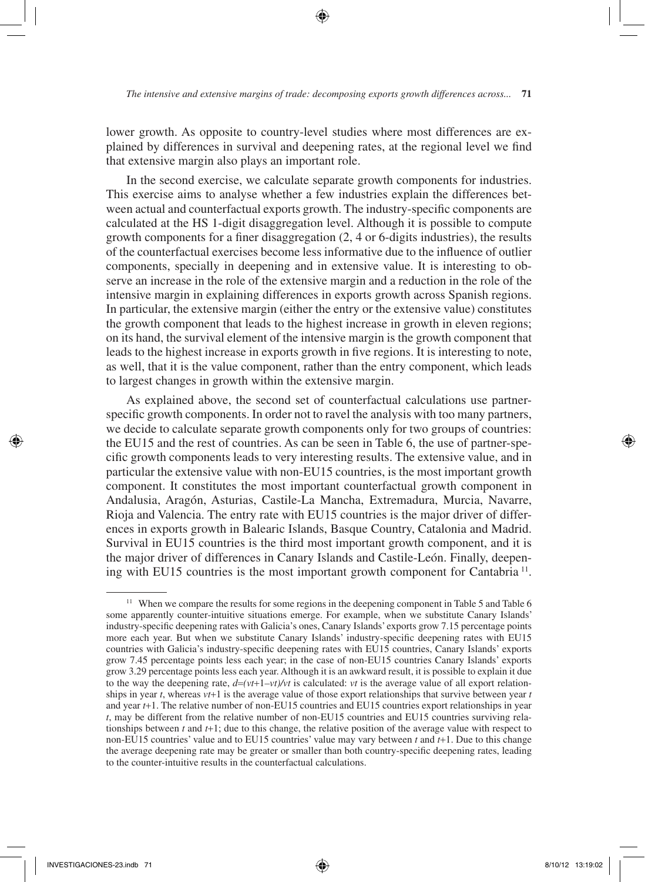lower growth. As opposite to country-level studies where most differences are explained by differences in survival and deepening rates, at the regional level we find that extensive margin also plays an important role.

In the second exercise, we calculate separate growth components for industries. This exercise aims to analyse whether a few industries explain the differences between actual and counterfactual exports growth. The industry-specific components are calculated at the HS 1-digit disaggregation level. Although it is possible to compute growth components for a finer disaggregation (2, 4 or 6-digits industries), the results of the counterfactual exercises become less informative due to the influence of outlier components, specially in deepening and in extensive value. It is interesting to observe an increase in the role of the extensive margin and a reduction in the role of the intensive margin in explaining differences in exports growth across Spanish regions. In particular, the extensive margin (either the entry or the extensive value) constitutes the growth component that leads to the highest increase in growth in eleven regions; on its hand, the survival element of the intensive margin is the growth component that leads to the highest increase in exports growth in five regions. It is interesting to note, as well, that it is the value component, rather than the entry component, which leads to largest changes in growth within the extensive margin.

As explained above, the second set of counterfactual calculations use partnerspecific growth components. In order not to ravel the analysis with too many partners, we decide to calculate separate growth components only for two groups of countries: the EU15 and the rest of countries. As can be seen in Table 6, the use of partner-specific growth components leads to very interesting results. The extensive value, and in particular the extensive value with non-EU15 countries, is the most important growth component. It constitutes the most important counterfactual growth component in Andalusia, Aragón, Asturias, Castile-La Mancha, Extremadura, Murcia, Navarre, Rioja and Valencia. The entry rate with EU15 countries is the major driver of differences in exports growth in Balearic Islands, Basque Country, Catalonia and Madrid. Survival in EU15 countries is the third most important growth component, and it is the major driver of differences in Canary Islands and Castile-León. Finally, deepening with EU15 countries is the most important growth component for Cantabria <sup>11</sup>.

<sup>&</sup>lt;sup>11</sup> When we compare the results for some regions in the deepening component in Table 5 and Table 6 some apparently counter-intuitive situations emerge. For example, when we substitute Canary Islands' industry-specific deepening rates with Galicia's ones, Canary Islands' exports grow 7.15 percentage points more each year. But when we substitute Canary Islands' industry-specific deepening rates with EU15 countries with Galicia's industry-specific deepening rates with EU15 countries, Canary Islands' exports grow 7.45 percentage points less each year; in the case of non-EU15 countries Canary Islands' exports grow 3.29 percentage points less each year. Although it is an awkward result, it is possible to explain it due to the way the deepening rate,  $d=(vt+1-vt)/vt$  is calculated: *vt* is the average value of all export relationships in year *t*, whereas *vt*+1 is the average value of those export relationships that survive between year *t* and year *t*+1. The relative number of non-EU15 countries and EU15 countries export relationships in year *t*, may be different from the relative number of non-EU15 countries and EU15 countries surviving relationships between *t* and *t*+1; due to this change, the relative position of the average value with respect to non-EU15 countries' value and to EU15 countries' value may vary between *t* and *t*+1. Due to this change the average deepening rate may be greater or smaller than both country-specific deepening rates, leading to the counter-intuitive results in the counterfactual calculations.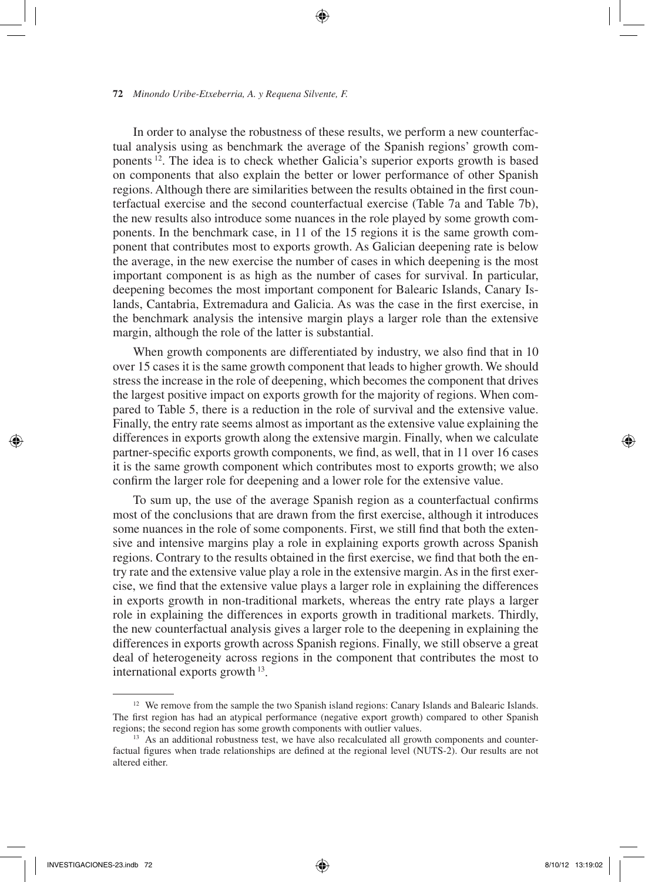In order to analyse the robustness of these results, we perform a new counterfactual analysis using as benchmark the average of the Spanish regions' growth components 12. The idea is to check whether Galicia's superior exports growth is based on components that also explain the better or lower performance of other Spanish regions. Although there are similarities between the results obtained in the first counterfactual exercise and the second counterfactual exercise (Table 7a and Table 7b), the new results also introduce some nuances in the role played by some growth components. In the benchmark case, in 11 of the 15 regions it is the same growth component that contributes most to exports growth. As Galician deepening rate is below the average, in the new exercise the number of cases in which deepening is the most important component is as high as the number of cases for survival. In particular, deepening becomes the most important component for Balearic Islands, Canary Islands, Cantabria, Extremadura and Galicia. As was the case in the first exercise, in the benchmark analysis the intensive margin plays a larger role than the extensive margin, although the role of the latter is substantial.

⊕

When growth components are differentiated by industry, we also find that in 10 over 15 cases it is the same growth component that leads to higher growth. We should stress the increase in the role of deepening, which becomes the component that drives the largest positive impact on exports growth for the majority of regions. When compared to Table 5, there is a reduction in the role of survival and the extensive value. Finally, the entry rate seems almost as important as the extensive value explaining the differences in exports growth along the extensive margin. Finally, when we calculate partner-specific exports growth components, we find, as well, that in 11 over 16 cases it is the same growth component which contributes most to exports growth; we also confirm the larger role for deepening and a lower role for the extensive value.

To sum up, the use of the average Spanish region as a counterfactual confirms most of the conclusions that are drawn from the first exercise, although it introduces some nuances in the role of some components. First, we still find that both the extensive and intensive margins play a role in explaining exports growth across Spanish regions. Contrary to the results obtained in the first exercise, we find that both the entry rate and the extensive value play a role in the extensive margin. As in the first exercise, we find that the extensive value plays a larger role in explaining the differences in exports growth in non-traditional markets, whereas the entry rate plays a larger role in explaining the differences in exports growth in traditional markets. Thirdly, the new counterfactual analysis gives a larger role to the deepening in explaining the differences in exports growth across Spanish regions. Finally, we still observe a great deal of heterogeneity across regions in the component that contributes the most to international exports growth 13.

<sup>&</sup>lt;sup>12</sup> We remove from the sample the two Spanish island regions: Canary Islands and Balearic Islands. The first region has had an atypical performance (negative export growth) compared to other Spanish regions; the second region has some growth components with outlier values.

<sup>&</sup>lt;sup>13</sup> As an additional robustness test, we have also recalculated all growth components and counterfactual figures when trade relationships are defined at the regional level (NUTS-2). Our results are not altered either.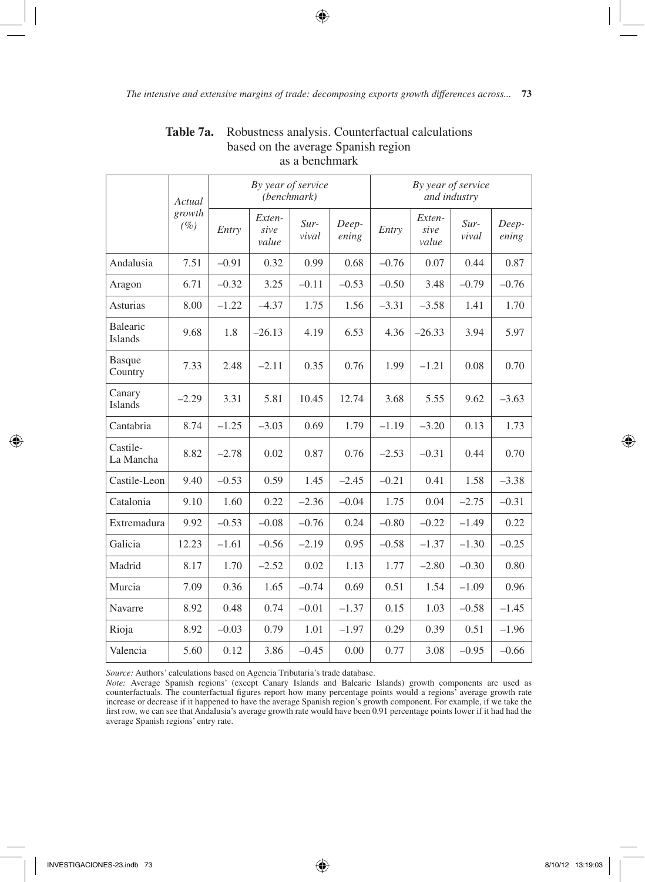$\bigcirc$ 

|                            | By year of service<br>(benchmark)<br>Actual |         |                         |                 | By year of service<br>and industry |         |                         |                 |                |
|----------------------------|---------------------------------------------|---------|-------------------------|-----------------|------------------------------------|---------|-------------------------|-----------------|----------------|
|                            | growth<br>$(\%)$                            | Entry   | Exten-<br>sive<br>value | $Sur-$<br>vival | Deep-<br>ening                     | Entry   | Exten-<br>sive<br>value | $Sur-$<br>vival | Deep-<br>ening |
| Andalusia                  | 7.51                                        | $-0.91$ | 0.32                    | 0.99            | 0.68                               | $-0.76$ | 0.07                    | 0.44            | 0.87           |
| Aragon                     | 6.71                                        | $-0.32$ | 3.25                    | $-0.11$         | $-0.53$                            | $-0.50$ | 3.48                    | $-0.79$         | $-0.76$        |
| <b>Asturias</b>            | 8.00                                        | $-1.22$ | $-4.37$                 | 1.75            | 1.56                               | $-3.31$ | $-3.58$                 | 1.41            | 1.70           |
| <b>Balearic</b><br>Islands | 9.68                                        | 1.8     | $-26.13$                | 4.19            | 6.53                               | 4.36    | $-26.33$                | 3.94            | 5.97           |
| <b>Basque</b><br>Country   | 7.33                                        | 2.48    | $-2.11$                 | 0.35            | 0.76                               | 1.99    | $-1.21$                 | 0.08            | 0.70           |
| Canary<br>Islands          | $-2.29$                                     | 3.31    | 5.81                    | 10.45           | 12.74                              | 3.68    | 5.55                    | 9.62            | $-3.63$        |
| Cantabria                  | 8.74                                        | $-1.25$ | $-3.03$                 | 0.69            | 1.79                               | $-1.19$ | $-3.20$                 | 0.13            | 1.73           |
| Castile-<br>La Mancha      | 8.82                                        | $-2.78$ | 0.02                    | 0.87            | 0.76                               | $-2.53$ | $-0.31$                 | 0.44            | 0.70           |
| Castile-Leon               | 9.40                                        | $-0.53$ | 0.59                    | 1.45            | $-2.45$                            | $-0.21$ | 0.41                    | 1.58            | $-3.38$        |
| Catalonia                  | 9.10                                        | 1.60    | 0.22                    | $-2.36$         | $-0.04$                            | 1.75    | 0.04                    | $-2.75$         | $-0.31$        |
| Extremadura                | 9.92                                        | $-0.53$ | $-0.08$                 | $-0.76$         | 0.24                               | $-0.80$ | $-0.22$                 | $-1.49$         | 0.22           |
| Galicia                    | 12.23                                       | $-1.61$ | $-0.56$                 | $-2.19$         | 0.95                               | $-0.58$ | $-1.37$                 | $-1.30$         | $-0.25$        |
| Madrid                     | 8.17                                        | 1.70    | $-2.52$                 | 0.02            | 1.13                               | 1.77    | $-2.80$                 | $-0.30$         | 0.80           |
| Murcia                     | 7.09                                        | 0.36    | 1.65                    | $-0.74$         | 0.69                               | 0.51    | 1.54                    | $-1.09$         | 0.96           |
| Navarre                    | 8.92                                        | 0.48    | 0.74                    | $-0.01$         | $-1.37$                            | 0.15    | 1.03                    | $-0.58$         | $-1.45$        |
| Rioja                      | 8.92                                        | $-0.03$ | 0.79                    | 1.01            | $-1.97$                            | 0.29    | 0.39                    | 0.51            | $-1.96$        |
| Valencia                   | 5.60                                        | 0.12    | 3.86                    | $-0.45$         | 0.00                               | 0.77    | 3.08                    | $-0.95$         | $-0.66$        |

# **Table 7a.** Robustness analysis. Counterfactual calculations based on the average Spanish region as a benchmark

*Source:* Authors' calculations based on Agencia Tributaria's trade database.

Note: Average Spanish regions' (except Canary Islands and Balearic Islands) growth components are used as<br>counterfactuals. The counterfactual figures report how many percentage points would a regions' average growth rate increase or decrease if it happened to have the average Spanish region's growth component. For example, if we take the first row, we can see that Andalusia's average growth rate would have been 0.91 percentage points lower if it had had the average Spanish regions' entry rate.

⊕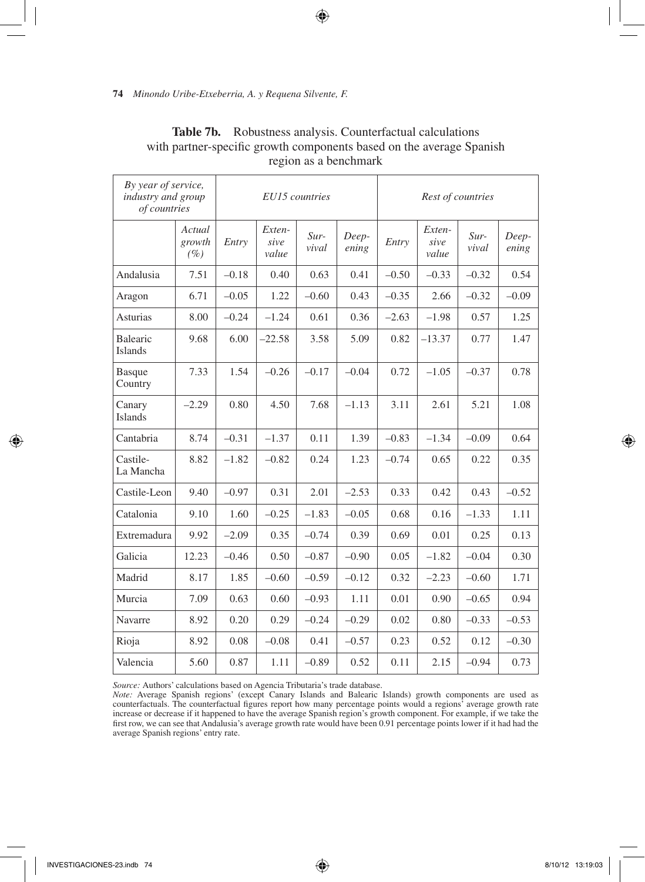| By year of service,<br>industry and group<br>of countries |                         |         | EU15 countries          |                 |                | Rest of countries |                         |                 |                |
|-----------------------------------------------------------|-------------------------|---------|-------------------------|-----------------|----------------|-------------------|-------------------------|-----------------|----------------|
|                                                           | Actual<br>growth<br>(%) | Entry   | Exten-<br>sive<br>value | $Sur-$<br>vival | Deep-<br>ening | Entry             | Exten-<br>sive<br>value | $Sur-$<br>vival | Deep-<br>ening |
| Andalusia                                                 | 7.51                    | $-0.18$ | 0.40                    | 0.63            | 0.41           | $-0.50$           | $-0.33$                 | $-0.32$         | 0.54           |
| Aragon                                                    | 6.71                    | $-0.05$ | 1.22                    | $-0.60$         | 0.43           | $-0.35$           | 2.66                    | $-0.32$         | $-0.09$        |
| Asturias                                                  | 8.00                    | $-0.24$ | $-1.24$                 | 0.61            | 0.36           | $-2.63$           | $-1.98$                 | 0.57            | 1.25           |
| <b>Balearic</b><br>Islands                                | 9.68                    | 6.00    | $-22.58$                | 3.58            | 5.09           | 0.82              | $-13.37$                | 0.77            | 1.47           |
| <b>Basque</b><br>Country                                  | 7.33                    | 1.54    | $-0.26$                 | $-0.17$         | $-0.04$        | 0.72              | $-1.05$                 | $-0.37$         | 0.78           |
| Canary<br><b>Islands</b>                                  | $-2.29$                 | 0.80    | 4.50                    | 7.68            | $-1.13$        | 3.11              | 2.61                    | 5.21            | 1.08           |
| Cantabria                                                 | 8.74                    | $-0.31$ | $-1.37$                 | 0.11            | 1.39           | $-0.83$           | $-1.34$                 | $-0.09$         | 0.64           |
| Castile-<br>La Mancha                                     | 8.82                    | $-1.82$ | $-0.82$                 | 0.24            | 1.23           | $-0.74$           | 0.65                    | 0.22            | 0.35           |
| Castile-Leon                                              | 9.40                    | $-0.97$ | 0.31                    | 2.01            | $-2.53$        | 0.33              | 0.42                    | 0.43            | $-0.52$        |
| Catalonia                                                 | 9.10                    | 1.60    | $-0.25$                 | $-1.83$         | $-0.05$        | 0.68              | 0.16                    | $-1.33$         | 1.11           |
| Extremadura                                               | 9.92                    | $-2.09$ | 0.35                    | $-0.74$         | 0.39           | 0.69              | 0.01                    | 0.25            | 0.13           |
| Galicia                                                   | 12.23                   | $-0.46$ | 0.50                    | $-0.87$         | $-0.90$        | 0.05              | $-1.82$                 | $-0.04$         | 0.30           |
| Madrid                                                    | 8.17                    | 1.85    | $-0.60$                 | $-0.59$         | $-0.12$        | 0.32              | $-2.23$                 | $-0.60$         | 1.71           |
| Murcia                                                    | 7.09                    | 0.63    | 0.60                    | $-0.93$         | 1.11           | 0.01              | 0.90                    | $-0.65$         | 0.94           |
| Navarre                                                   | 8.92                    | 0.20    | 0.29                    | $-0.24$         | $-0.29$        | 0.02              | 0.80                    | $-0.33$         | $-0.53$        |
| Rioja                                                     | 8.92                    | 0.08    | $-0.08$                 | 0.41            | $-0.57$        | 0.23              | 0.52                    | 0.12            | $-0.30$        |
| Valencia                                                  | 5.60                    | 0.87    | 1.11                    | $-0.89$         | 0.52           | 0.11              | 2.15                    | $-0.94$         | 0.73           |

# **Table 7b.** Robustness analysis. Counterfactual calculations with partner-specific growth components based on the average Spanish region as a benchmark

 $\bigoplus$ 

*Source:* Authors' calculations based on Agencia Tributaria's trade database.

*Note:* Average Spanish regions' (except Canary Islands and Balearic Islands) growth components are used as counterfactuals. The counterfactual figures report how many percentage points would a regions' average growth rate increase or decrease if it happened to have the average Spanish region's growth component. For example, if we take the first row, we can see that Andalusia's average growth rate would have been 0.91 percentage points lower if it had had the average Spanish regions' entry rate.

⊕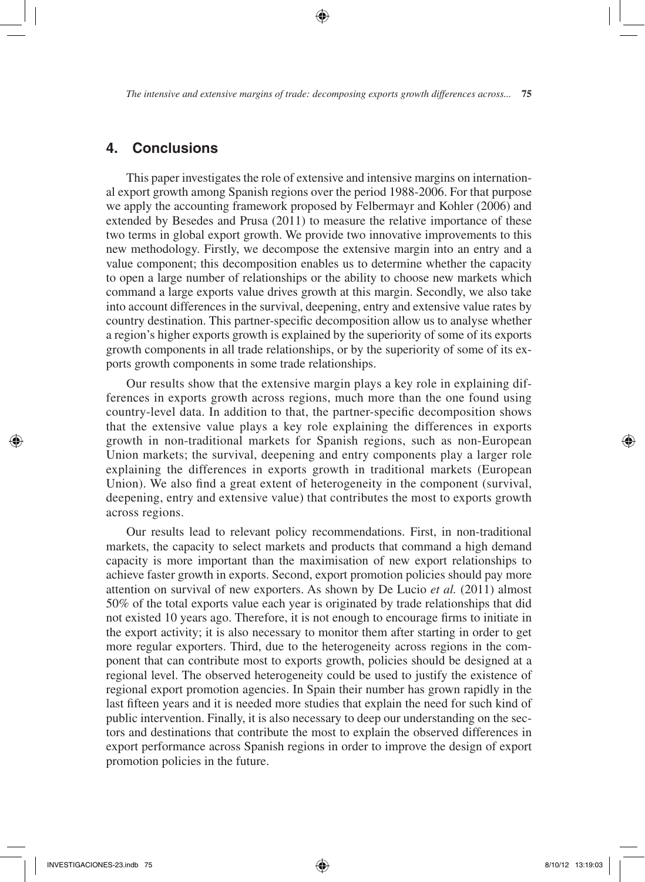# **4. Conclusions**

This paper investigates the role of extensive and intensive margins on international export growth among Spanish regions over the period 1988-2006. For that purpose we apply the accounting framework proposed by Felbermayr and Kohler (2006) and extended by Besedes and Prusa (2011) to measure the relative importance of these two terms in global export growth. We provide two innovative improvements to this new methodology. Firstly, we decompose the extensive margin into an entry and a value component; this decomposition enables us to determine whether the capacity to open a large number of relationships or the ability to choose new markets which command a large exports value drives growth at this margin. Secondly, we also take into account differences in the survival, deepening, entry and extensive value rates by country destination. This partner-specific decomposition allow us to analyse whether a region's higher exports growth is explained by the superiority of some of its exports growth components in all trade relationships, or by the superiority of some of its exports growth components in some trade relationships.

Our results show that the extensive margin plays a key role in explaining differences in exports growth across regions, much more than the one found using country-level data. In addition to that, the partner-specific decomposition shows that the extensive value plays a key role explaining the differences in exports growth in non-traditional markets for Spanish regions, such as non-European Union markets; the survival, deepening and entry components play a larger role explaining the differences in exports growth in traditional markets (European Union). We also find a great extent of heterogeneity in the component (survival, deepening, entry and extensive value) that contributes the most to exports growth across regions.

Our results lead to relevant policy recommendations. First, in non-traditional markets, the capacity to select markets and products that command a high demand capacity is more important than the maximisation of new export relationships to achieve faster growth in exports. Second, export promotion policies should pay more attention on survival of new exporters. As shown by De Lucio *et al.* (2011) almost 50% of the total exports value each year is originated by trade relationships that did not existed 10 years ago. Therefore, it is not enough to encourage firms to initiate in the export activity; it is also necessary to monitor them after starting in order to get more regular exporters. Third, due to the heterogeneity across regions in the component that can contribute most to exports growth, policies should be designed at a regional level. The observed heterogeneity could be used to justify the existence of regional export promotion agencies. In Spain their number has grown rapidly in the last fifteen years and it is needed more studies that explain the need for such kind of public intervention. Finally, it is also necessary to deep our understanding on the sectors and destinations that contribute the most to explain the observed differences in export performance across Spanish regions in order to improve the design of export promotion policies in the future.